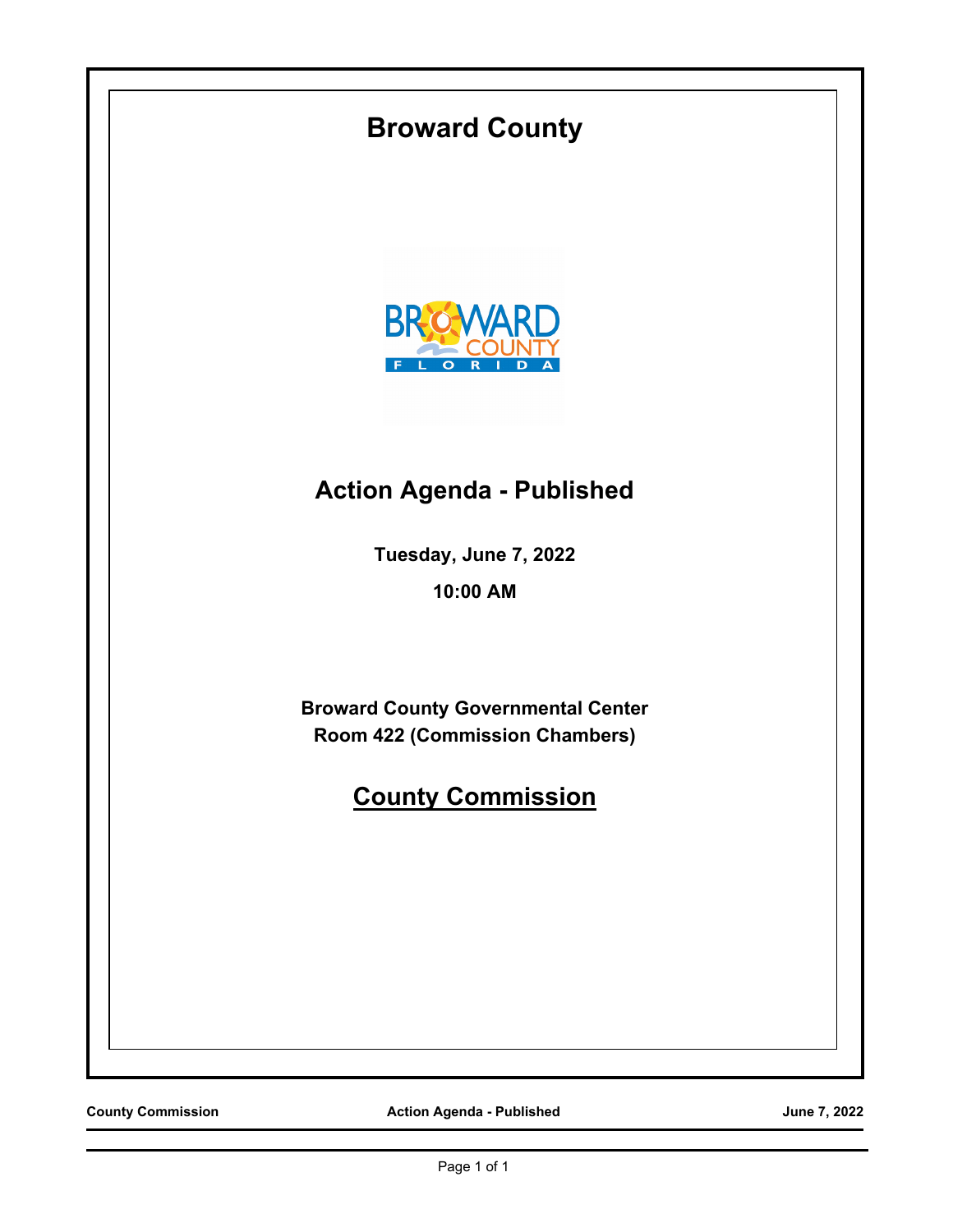

**County Commission Action Agenda - Published Action Agenda - Published June 7, 2022**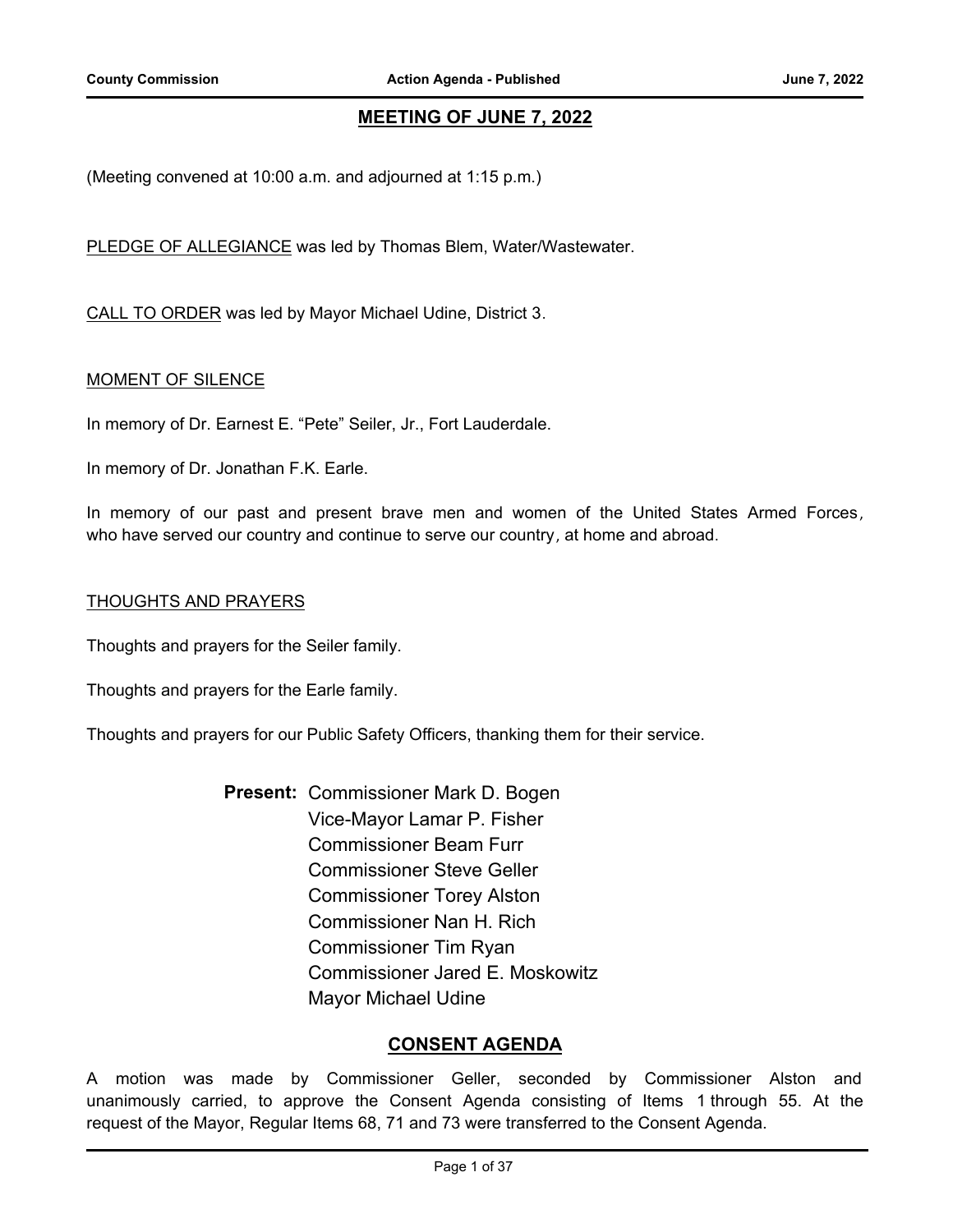# **MEETING OF JUNE 7, 2022**

(Meeting convened at 10:00 a.m. and adjourned at 1:15 p.m.)

PLEDGE OF ALLEGIANCE was led by Thomas Blem, Water/Wastewater.

CALL TO ORDER was led by Mayor Michael Udine, District 3.

#### **MOMENT OF SILENCE**

In memory of Dr. Earnest E. "Pete" Seiler, Jr., Fort Lauderdale.

In memory of Dr. Jonathan F.K. Earle.

In memory of our past and present brave men and women of the United States Armed Forces, who have served our country and continue to serve our country, at home and abroad.

#### THOUGHTS AND PRAYERS

Thoughts and prayers for the Seiler family.

Thoughts and prayers for the Earle family.

Thoughts and prayers for our Public Safety Officers, thanking them for their service.

Present: Commissioner Mark D. Bogen Vice-Mayor Lamar P. Fisher Commissioner Beam Furr Commissioner Steve Geller Commissioner Torey Alston Commissioner Nan H. Rich Commissioner Tim Ryan Commissioner Jared E. Moskowitz Mayor Michael Udine

# **CONSENT AGENDA**

A motion was made by Commissioner Geller, seconded by Commissioner Alston and unanimously carried, to approve the Consent Agenda consisting of Items 1 through 55. At the request of the Mayor, Regular Items 68, 71 and 73 were transferred to the Consent Agenda.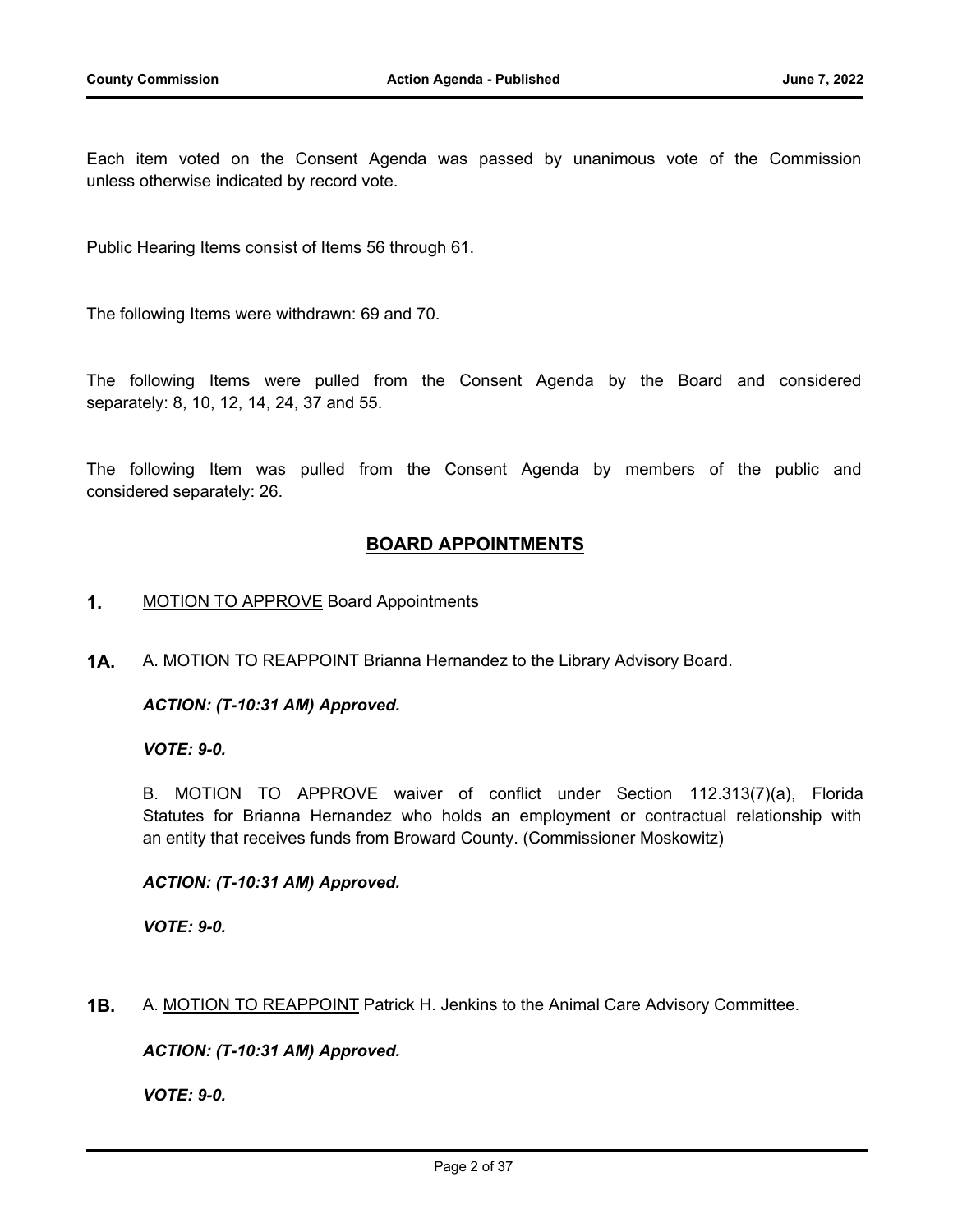Each item voted on the Consent Agenda was passed by unanimous vote of the Commission unless otherwise indicated by record vote.

Public Hearing Items consist of Items 56 through 61.

The following Items were withdrawn: 69 and 70.

The following Items were pulled from the Consent Agenda by the Board and considered separately: 8, 10, 12, 14, 24, 37 and 55.

The following Item was pulled from the Consent Agenda by members of the public and considered separately: 26.

# **BOARD APPOINTMENTS**

- **1.** MOTION TO APPROVE Board Appointments
- **1A.** A. MOTION TO REAPPOINT Brianna Hernandez to the Library Advisory Board.

*ACTION: (T-10:31 AM) Approved.*

*VOTE: 9-0.*

B. MOTION TO APPROVE waiver of conflict under Section 112.313(7)(a), Florida Statutes for Brianna Hernandez who holds an employment or contractual relationship with an entity that receives funds from Broward County. (Commissioner Moskowitz)

#### *ACTION: (T-10:31 AM) Approved.*

*VOTE: 9-0.*

**1B.** A. MOTION TO REAPPOINT Patrick H. Jenkins to the Animal Care Advisory Committee.

*ACTION: (T-10:31 AM) Approved.*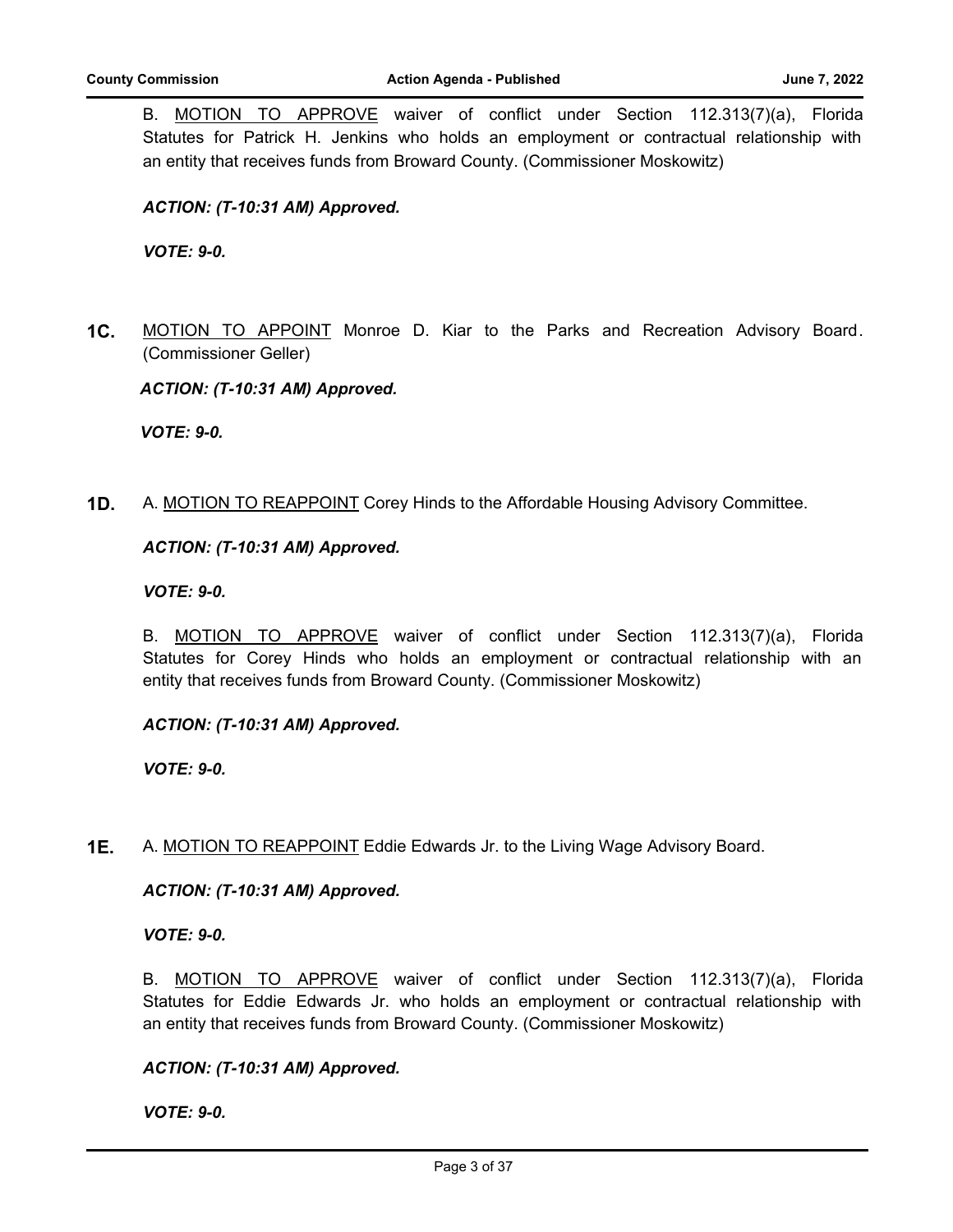B. MOTION TO APPROVE waiver of conflict under Section 112.313(7)(a), Florida Statutes for Patrick H. Jenkins who holds an employment or contractual relationship with an entity that receives funds from Broward County. (Commissioner Moskowitz)

# *ACTION: (T-10:31 AM) Approved.*

*VOTE: 9-0.*

**1C.** MOTION TO APPOINT Monroe D. Kiar to the Parks and Recreation Advisory Board. (Commissioner Geller)

*ACTION: (T-10:31 AM) Approved.*

*VOTE: 9-0.*

**1D.** A. MOTION TO REAPPOINT Corey Hinds to the Affordable Housing Advisory Committee.

#### *ACTION: (T-10:31 AM) Approved.*

#### *VOTE: 9-0.*

B. MOTION TO APPROVE waiver of conflict under Section 112.313(7)(a), Florida Statutes for Corey Hinds who holds an employment or contractual relationship with an entity that receives funds from Broward County. (Commissioner Moskowitz)

#### *ACTION: (T-10:31 AM) Approved.*

*VOTE: 9-0.*

**1E.** A. MOTION TO REAPPOINT Eddie Edwards Jr. to the Living Wage Advisory Board.

*ACTION: (T-10:31 AM) Approved.*

*VOTE: 9-0.*

B. MOTION TO APPROVE waiver of conflict under Section 112.313(7)(a), Florida Statutes for Eddie Edwards Jr. who holds an employment or contractual relationship with an entity that receives funds from Broward County. (Commissioner Moskowitz)

#### *ACTION: (T-10:31 AM) Approved.*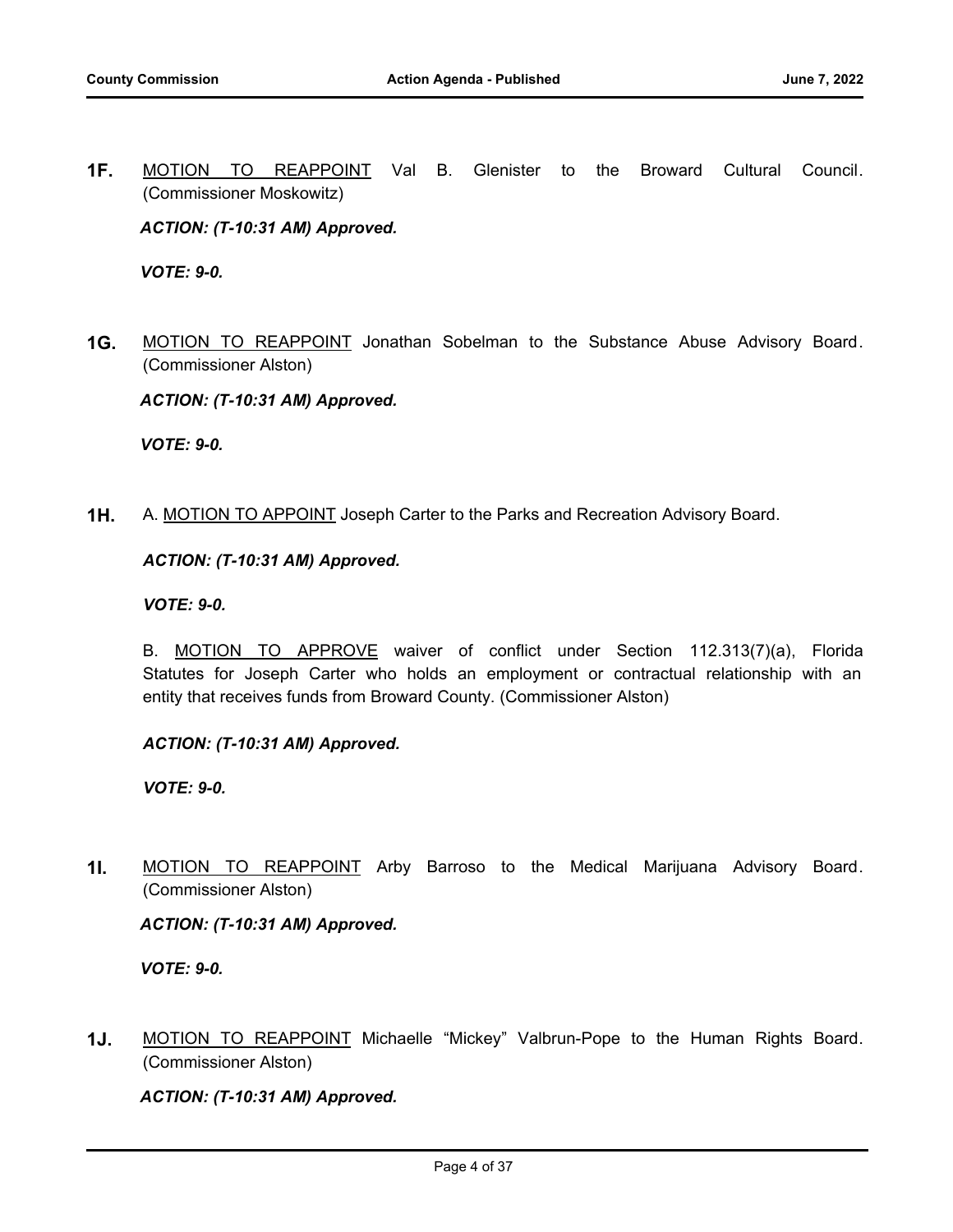**1F.** MOTION TO REAPPOINT Val B. Glenister to the Broward Cultural Council. (Commissioner Moskowitz)

*ACTION: (T-10:31 AM) Approved.*

*VOTE: 9-0.*

**1G.** MOTION TO REAPPOINT Jonathan Sobelman to the Substance Abuse Advisory Board. (Commissioner Alston)

*ACTION: (T-10:31 AM) Approved.*

*VOTE: 9-0.*

**1H.** A. MOTION TO APPOINT Joseph Carter to the Parks and Recreation Advisory Board.

#### *ACTION: (T-10:31 AM) Approved.*

*VOTE: 9-0.*

B. MOTION TO APPROVE waiver of conflict under Section 112.313(7)(a), Florida Statutes for Joseph Carter who holds an employment or contractual relationship with an entity that receives funds from Broward County. (Commissioner Alston)

#### *ACTION: (T-10:31 AM) Approved.*

*VOTE: 9-0.*

**1I.** MOTION TO REAPPOINT Arby Barroso to the Medical Marijuana Advisory Board. (Commissioner Alston)

*ACTION: (T-10:31 AM) Approved.*

*VOTE: 9-0.*

**1J.** MOTION TO REAPPOINT Michaelle "Mickey" Valbrun-Pope to the Human Rights Board. (Commissioner Alston)

*ACTION: (T-10:31 AM) Approved.*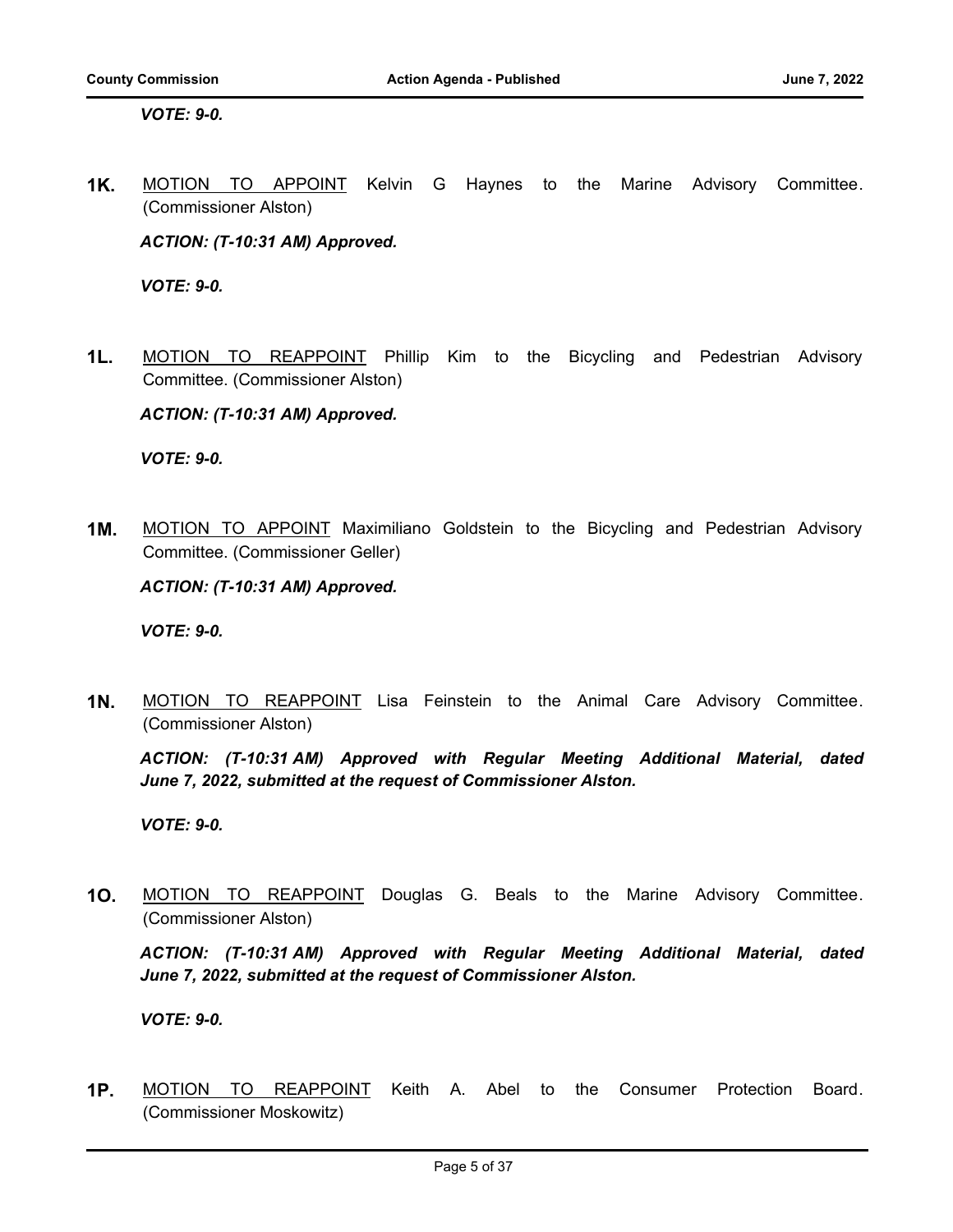*VOTE: 9-0.*

**1K.** MOTION TO APPOINT Kelvin G Haynes to the Marine Advisory Committee. (Commissioner Alston)

*ACTION: (T-10:31 AM) Approved.*

*VOTE: 9-0.*

**1L.** MOTION TO REAPPOINT Phillip Kim to the Bicycling and Pedestrian Advisory Committee. (Commissioner Alston)

*ACTION: (T-10:31 AM) Approved.*

*VOTE: 9-0.*

**1M.** MOTION TO APPOINT Maximiliano Goldstein to the Bicycling and Pedestrian Advisory Committee. (Commissioner Geller)

*ACTION: (T-10:31 AM) Approved.*

*VOTE: 9-0.*

**1N.** MOTION TO REAPPOINT Lisa Feinstein to the Animal Care Advisory Committee. (Commissioner Alston)

*ACTION: (T-10:31 AM) Approved with Regular Meeting Additional Material, dated June 7, 2022, submitted at the request of Commissioner Alston.*

*VOTE: 9-0.*

**1O.** MOTION TO REAPPOINT Douglas G. Beals to the Marine Advisory Committee. (Commissioner Alston)

*ACTION: (T-10:31 AM) Approved with Regular Meeting Additional Material, dated June 7, 2022, submitted at the request of Commissioner Alston.*

*VOTE: 9-0.*

**1P.** MOTION TO REAPPOINT Keith A. Abel to the Consumer Protection Board. (Commissioner Moskowitz)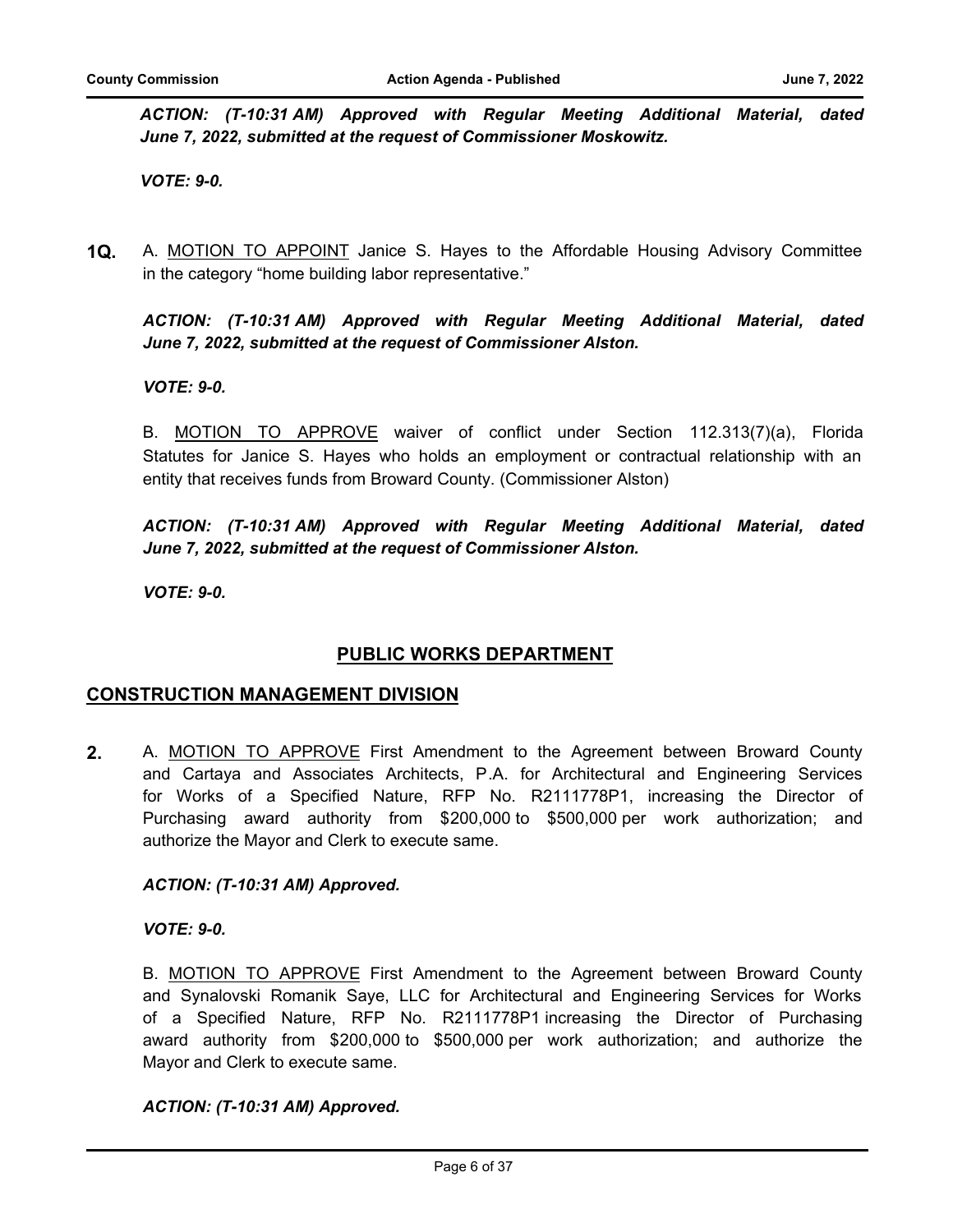*ACTION: (T-10:31 AM) Approved with Regular Meeting Additional Material, dated June 7, 2022, submitted at the request of Commissioner Moskowitz.*

*VOTE: 9-0.*

**1Q.** A. MOTION TO APPOINT Janice S. Hayes to the Affordable Housing Advisory Committee in the category "home building labor representative."

*ACTION: (T-10:31 AM) Approved with Regular Meeting Additional Material, dated June 7, 2022, submitted at the request of Commissioner Alston.*

# *VOTE: 9-0.*

B. MOTION TO APPROVE waiver of conflict under Section 112.313(7)(a), Florida Statutes for Janice S. Hayes who holds an employment or contractual relationship with an entity that receives funds from Broward County. (Commissioner Alston)

*ACTION: (T-10:31 AM) Approved with Regular Meeting Additional Material, dated June 7, 2022, submitted at the request of Commissioner Alston.*

*VOTE: 9-0.*

# **PUBLIC WORKS DEPARTMENT**

#### **CONSTRUCTION MANAGEMENT DIVISION**

**2.** A. MOTION TO APPROVE First Amendment to the Agreement between Broward County and Cartaya and Associates Architects, P.A. for Architectural and Engineering Services for Works of a Specified Nature, RFP No. R2111778P1, increasing the Director of Purchasing award authority from \$200,000 to \$500,000 per work authorization; and authorize the Mayor and Clerk to execute same.

#### *ACTION: (T-10:31 AM) Approved.*

*VOTE: 9-0.*

B. MOTION TO APPROVE First Amendment to the Agreement between Broward County and Synalovski Romanik Saye, LLC for Architectural and Engineering Services for Works of a Specified Nature, RFP No. R2111778P1 increasing the Director of Purchasing award authority from \$200,000 to \$500,000 per work authorization; and authorize the Mayor and Clerk to execute same.

#### *ACTION: (T-10:31 AM) Approved.*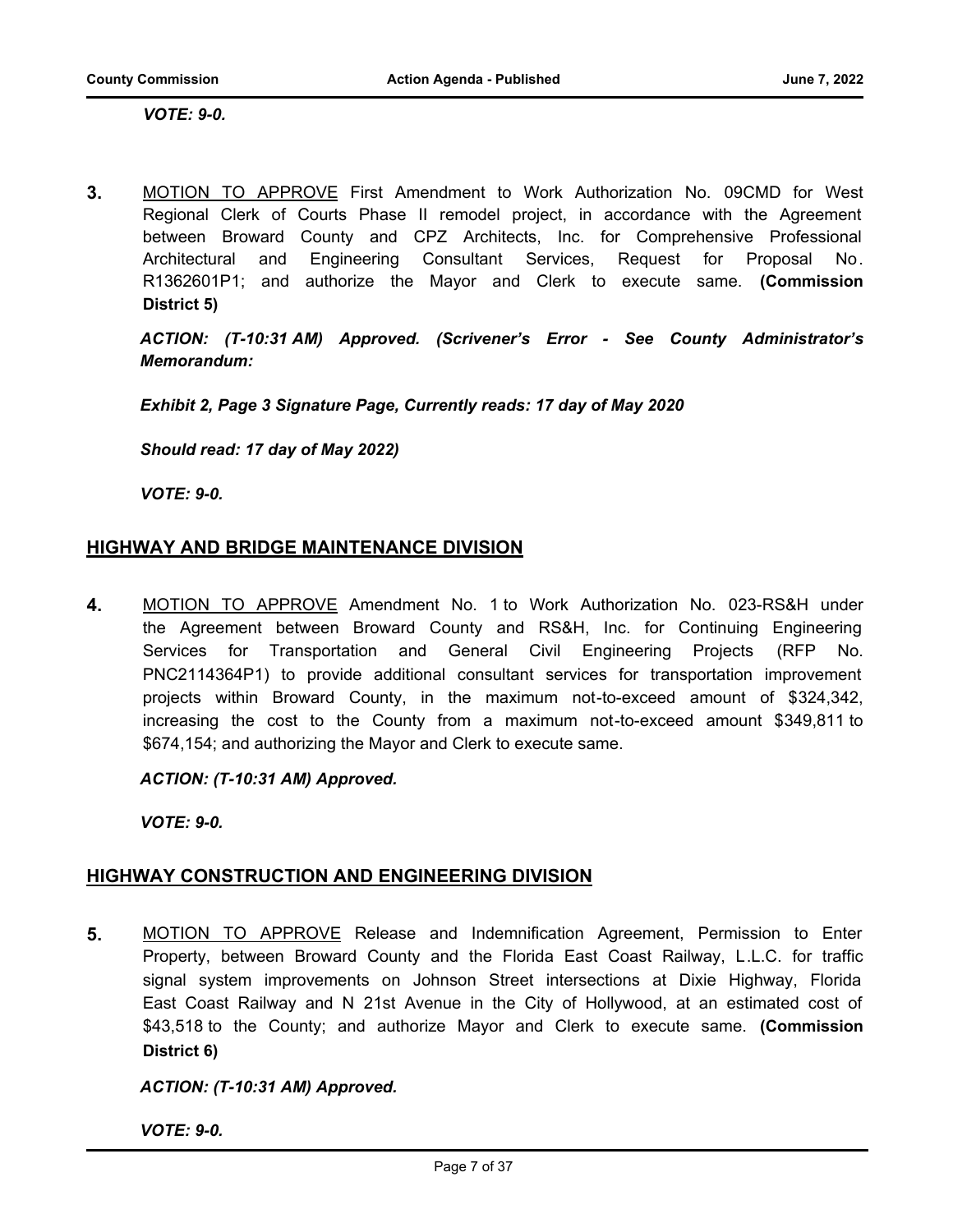*VOTE: 9-0.*

**3.** MOTION TO APPROVE First Amendment to Work Authorization No. 09CMD for West Regional Clerk of Courts Phase II remodel project, in accordance with the Agreement between Broward County and CPZ Architects, Inc. for Comprehensive Professional Architectural and Engineering Consultant Services, Request for Proposal No. R1362601P1; and authorize the Mayor and Clerk to execute same. **(Commission District 5)**

*ACTION: (T-10:31 AM) Approved. (Scrivener's Error - See County Administrator's Memorandum:* 

*Exhibit 2, Page 3 Signature Page, Currently reads: 17 day of May 2020* 

*Should read: 17 day of May 2022)*

*VOTE: 9-0.*

# **HIGHWAY AND BRIDGE MAINTENANCE DIVISION**

**4.** MOTION TO APPROVE Amendment No. 1 to Work Authorization No. 023-RS&H under the Agreement between Broward County and RS&H, Inc. for Continuing Engineering Services for Transportation and General Civil Engineering Projects (RFP No. PNC2114364P1) to provide additional consultant services for transportation improvement projects within Broward County, in the maximum not-to-exceed amount of \$324,342, increasing the cost to the County from a maximum not-to-exceed amount \$349,811 to \$674,154; and authorizing the Mayor and Clerk to execute same.

*ACTION: (T-10:31 AM) Approved.*

*VOTE: 9-0.*

# **HIGHWAY CONSTRUCTION AND ENGINEERING DIVISION**

**5.** MOTION TO APPROVE Release and Indemnification Agreement, Permission to Enter Property, between Broward County and the Florida East Coast Railway, L.L.C. for traffic signal system improvements on Johnson Street intersections at Dixie Highway, Florida East Coast Railway and N 21st Avenue in the City of Hollywood, at an estimated cost of \$43,518 to the County; and authorize Mayor and Clerk to execute same. **(Commission District 6)**

#### *ACTION: (T-10:31 AM) Approved.*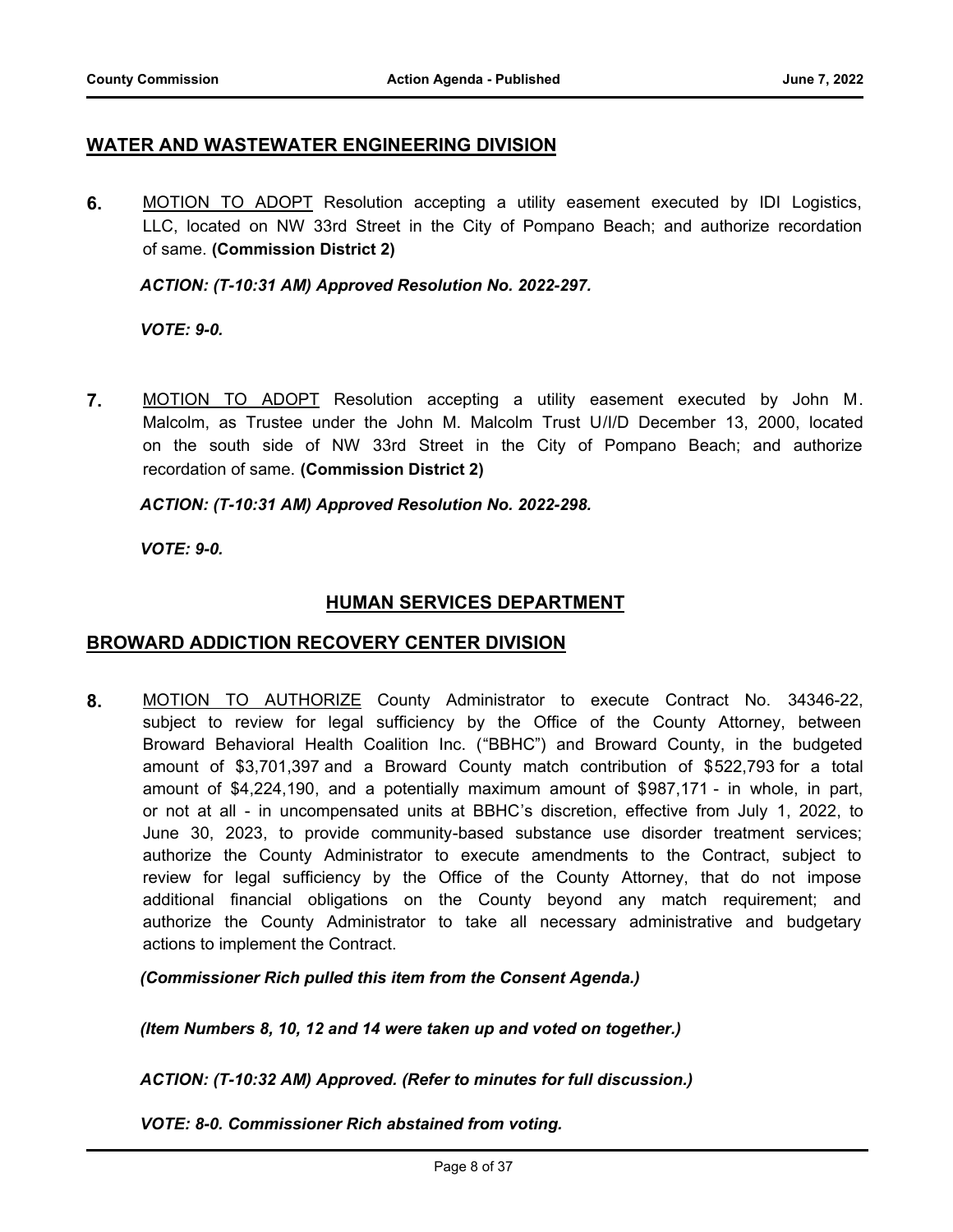# **WATER AND WASTEWATER ENGINEERING DIVISION**

**6.** MOTION TO ADOPT Resolution accepting a utility easement executed by IDI Logistics, LLC, located on NW 33rd Street in the City of Pompano Beach; and authorize recordation of same. **(Commission District 2)**

*ACTION: (T-10:31 AM) Approved Resolution No. 2022-297.*

*VOTE: 9-0.*

**7.** MOTION TO ADOPT Resolution accepting a utility easement executed by John M. Malcolm, as Trustee under the John M. Malcolm Trust U/I/D December 13, 2000, located on the south side of NW 33rd Street in the City of Pompano Beach; and authorize recordation of same. **(Commission District 2)**

*ACTION: (T-10:31 AM) Approved Resolution No. 2022-298.*

*VOTE: 9-0.*

# **HUMAN SERVICES DEPARTMENT**

#### **BROWARD ADDICTION RECOVERY CENTER DIVISION**

**8.** MOTION TO AUTHORIZE County Administrator to execute Contract No. 34346-22, subject to review for legal sufficiency by the Office of the County Attorney, between Broward Behavioral Health Coalition Inc. ("BBHC") and Broward County, in the budgeted amount of \$3,701,397 and a Broward County match contribution of \$522,793 for a total amount of \$4,224,190, and a potentially maximum amount of \$987,171 - in whole, in part, or not at all - in uncompensated units at BBHC's discretion, effective from July 1, 2022, to June 30, 2023, to provide community-based substance use disorder treatment services; authorize the County Administrator to execute amendments to the Contract, subject to review for legal sufficiency by the Office of the County Attorney, that do not impose additional financial obligations on the County beyond any match requirement; and authorize the County Administrator to take all necessary administrative and budgetary actions to implement the Contract.

*(Commissioner Rich pulled this item from the Consent Agenda.)*

*(Item Numbers 8, 10, 12 and 14 were taken up and voted on together.)*

*ACTION: (T-10:32 AM) Approved. (Refer to minutes for full discussion.)*

*VOTE: 8-0. Commissioner Rich abstained from voting.*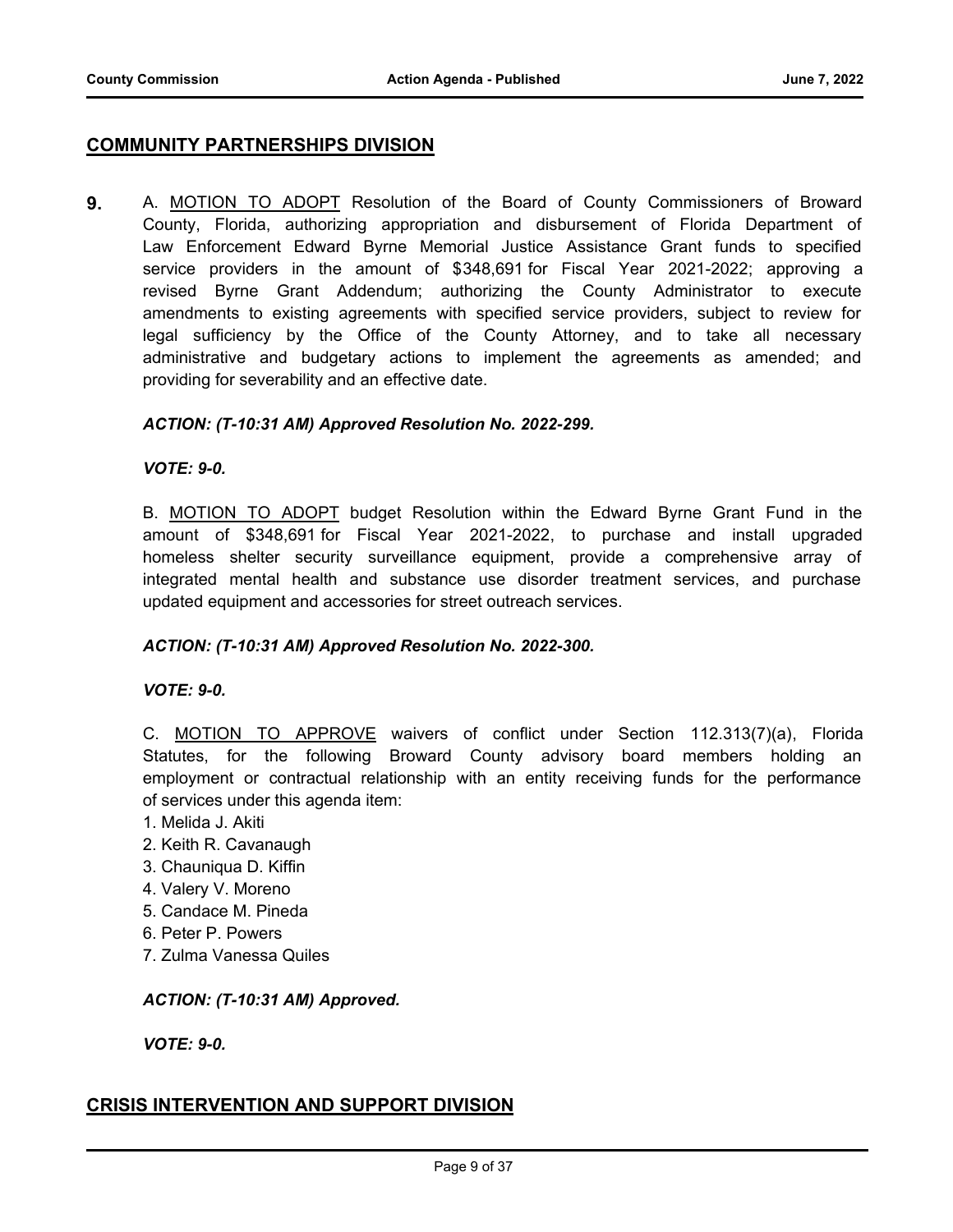# **COMMUNITY PARTNERSHIPS DIVISION**

**9.** A. MOTION TO ADOPT Resolution of the Board of County Commissioners of Broward County, Florida, authorizing appropriation and disbursement of Florida Department of Law Enforcement Edward Byrne Memorial Justice Assistance Grant funds to specified service providers in the amount of \$348,691 for Fiscal Year 2021-2022; approving a revised Byrne Grant Addendum; authorizing the County Administrator to execute amendments to existing agreements with specified service providers, subject to review for legal sufficiency by the Office of the County Attorney, and to take all necessary administrative and budgetary actions to implement the agreements as amended; and providing for severability and an effective date.

#### *ACTION: (T-10:31 AM) Approved Resolution No. 2022-299.*

#### *VOTE: 9-0.*

B. MOTION TO ADOPT budget Resolution within the Edward Byrne Grant Fund in the amount of \$348,691 for Fiscal Year 2021-2022, to purchase and install upgraded homeless shelter security surveillance equipment, provide a comprehensive array of integrated mental health and substance use disorder treatment services, and purchase updated equipment and accessories for street outreach services.

#### *ACTION: (T-10:31 AM) Approved Resolution No. 2022-300.*

#### *VOTE: 9-0.*

C. MOTION TO APPROVE waivers of conflict under Section 112.313(7)(a), Florida Statutes, for the following Broward County advisory board members holding an employment or contractual relationship with an entity receiving funds for the performance of services under this agenda item:

- 1. Melida J. Akiti
- 2. Keith R. Cavanaugh
- 3. Chauniqua D. Kiffin
- 4. Valery V. Moreno
- 5. Candace M. Pineda
- 6. Peter P. Powers
- 7. Zulma Vanessa Quiles

#### *ACTION: (T-10:31 AM) Approved.*

*VOTE: 9-0.*

#### **CRISIS INTERVENTION AND SUPPORT DIVISION**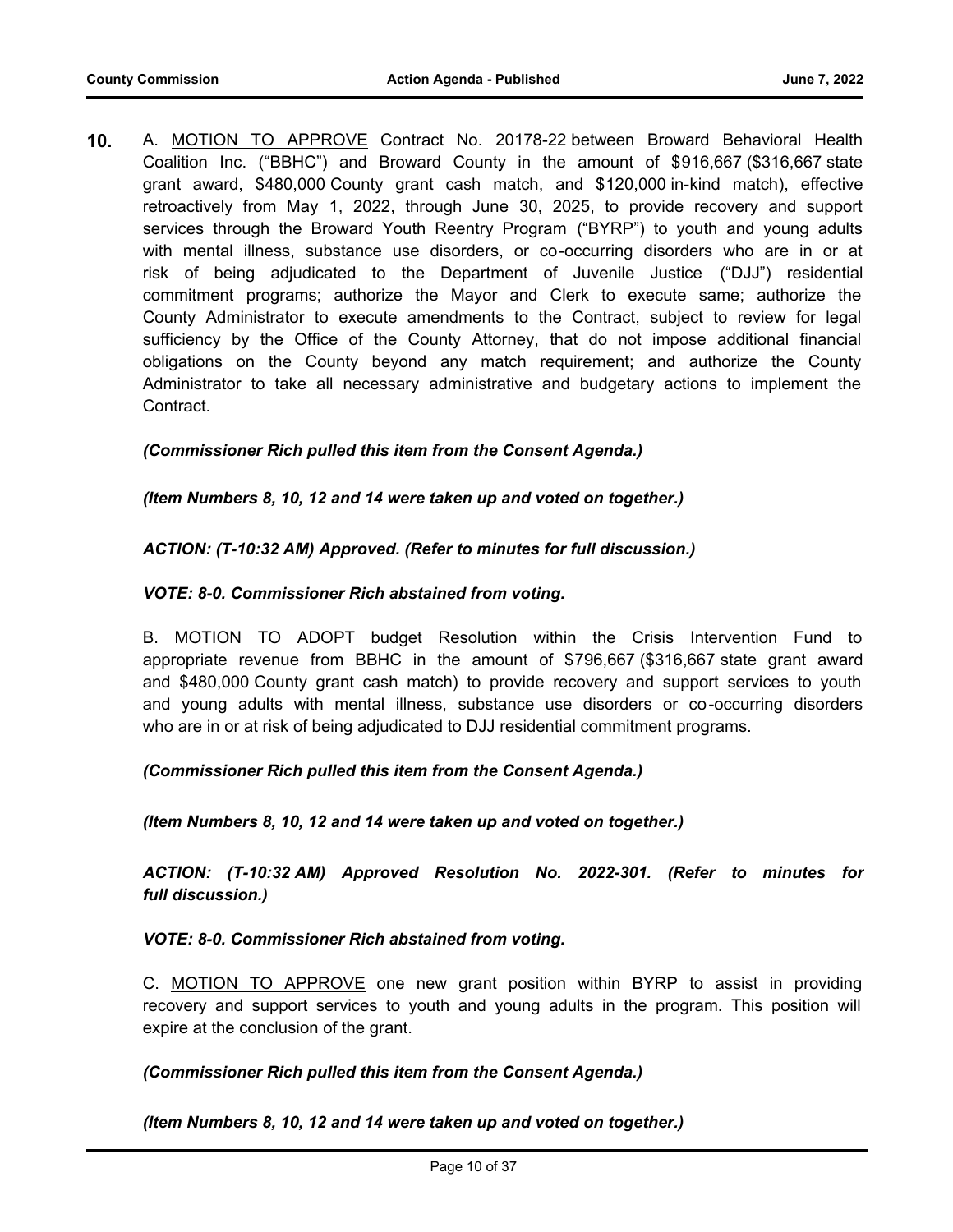**10.** A. MOTION TO APPROVE Contract No. 20178-22 between Broward Behavioral Health Coalition Inc. ("BBHC") and Broward County in the amount of \$916,667 (\$316,667 state grant award, \$480,000 County grant cash match, and \$120,000 in-kind match), effective retroactively from May 1, 2022, through June 30, 2025, to provide recovery and support services through the Broward Youth Reentry Program ("BYRP") to youth and young adults with mental illness, substance use disorders, or co-occurring disorders who are in or at risk of being adjudicated to the Department of Juvenile Justice ("DJJ") residential commitment programs; authorize the Mayor and Clerk to execute same; authorize the County Administrator to execute amendments to the Contract, subject to review for legal sufficiency by the Office of the County Attorney, that do not impose additional financial obligations on the County beyond any match requirement; and authorize the County Administrator to take all necessary administrative and budgetary actions to implement the Contract.

#### *(Commissioner Rich pulled this item from the Consent Agenda.)*

#### *(Item Numbers 8, 10, 12 and 14 were taken up and voted on together.)*

#### *ACTION: (T-10:32 AM) Approved. (Refer to minutes for full discussion.)*

#### *VOTE: 8-0. Commissioner Rich abstained from voting.*

B. MOTION TO ADOPT budget Resolution within the Crisis Intervention Fund to appropriate revenue from BBHC in the amount of \$796,667 (\$316,667 state grant award and \$480,000 County grant cash match) to provide recovery and support services to youth and young adults with mental illness, substance use disorders or co-occurring disorders who are in or at risk of being adjudicated to DJJ residential commitment programs.

#### *(Commissioner Rich pulled this item from the Consent Agenda.)*

*(Item Numbers 8, 10, 12 and 14 were taken up and voted on together.)*

*ACTION: (T-10:32 AM) Approved Resolution No. 2022-301. (Refer to minutes for full discussion.)*

#### *VOTE: 8-0. Commissioner Rich abstained from voting.*

C. MOTION TO APPROVE one new grant position within BYRP to assist in providing recovery and support services to youth and young adults in the program. This position will expire at the conclusion of the grant.

#### *(Commissioner Rich pulled this item from the Consent Agenda.)*

#### *(Item Numbers 8, 10, 12 and 14 were taken up and voted on together.)*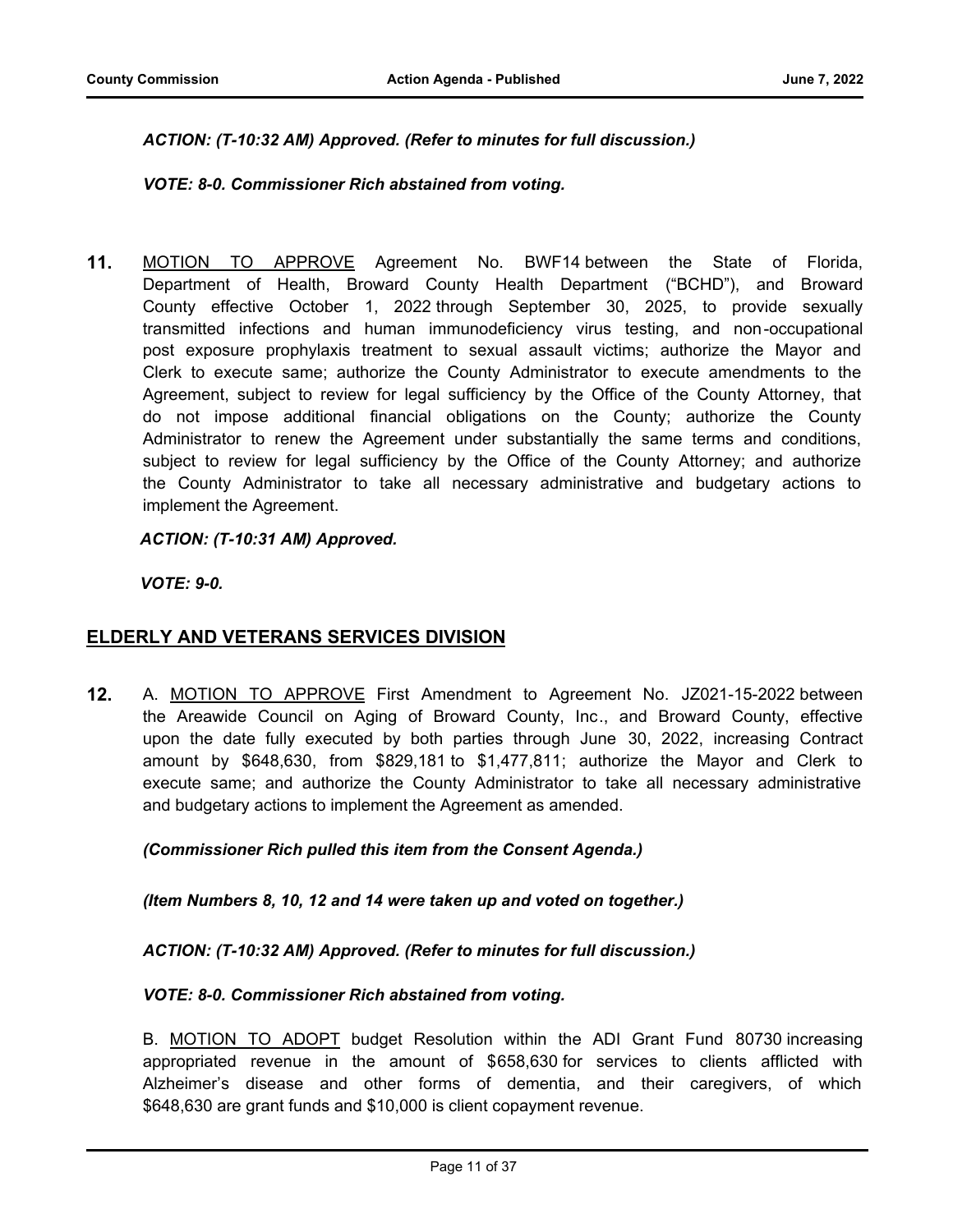# *ACTION: (T-10:32 AM) Approved. (Refer to minutes for full discussion.)*

# *VOTE: 8-0. Commissioner Rich abstained from voting.*

**11.** MOTION TO APPROVE Agreement No. BWF14 between the State of Florida, Department of Health, Broward County Health Department ("BCHD"), and Broward County effective October 1, 2022 through September 30, 2025, to provide sexually transmitted infections and human immunodeficiency virus testing, and non-occupational post exposure prophylaxis treatment to sexual assault victims; authorize the Mayor and Clerk to execute same; authorize the County Administrator to execute amendments to the Agreement, subject to review for legal sufficiency by the Office of the County Attorney, that do not impose additional financial obligations on the County; authorize the County Administrator to renew the Agreement under substantially the same terms and conditions, subject to review for legal sufficiency by the Office of the County Attorney; and authorize the County Administrator to take all necessary administrative and budgetary actions to implement the Agreement.

# *ACTION: (T-10:31 AM) Approved.*

*VOTE: 9-0.*

# **ELDERLY AND VETERANS SERVICES DIVISION**

**12.** A. MOTION TO APPROVE First Amendment to Agreement No. JZ021-15-2022 between the Areawide Council on Aging of Broward County, Inc., and Broward County, effective upon the date fully executed by both parties through June 30, 2022, increasing Contract amount by \$648,630, from \$829,181 to \$1,477,811; authorize the Mayor and Clerk to execute same; and authorize the County Administrator to take all necessary administrative and budgetary actions to implement the Agreement as amended.

#### *(Commissioner Rich pulled this item from the Consent Agenda.)*

*(Item Numbers 8, 10, 12 and 14 were taken up and voted on together.)*

#### *ACTION: (T-10:32 AM) Approved. (Refer to minutes for full discussion.)*

#### *VOTE: 8-0. Commissioner Rich abstained from voting.*

B. MOTION TO ADOPT budget Resolution within the ADI Grant Fund 80730 increasing appropriated revenue in the amount of \$658,630 for services to clients afflicted with Alzheimer's disease and other forms of dementia, and their caregivers, of which \$648,630 are grant funds and \$10,000 is client copayment revenue.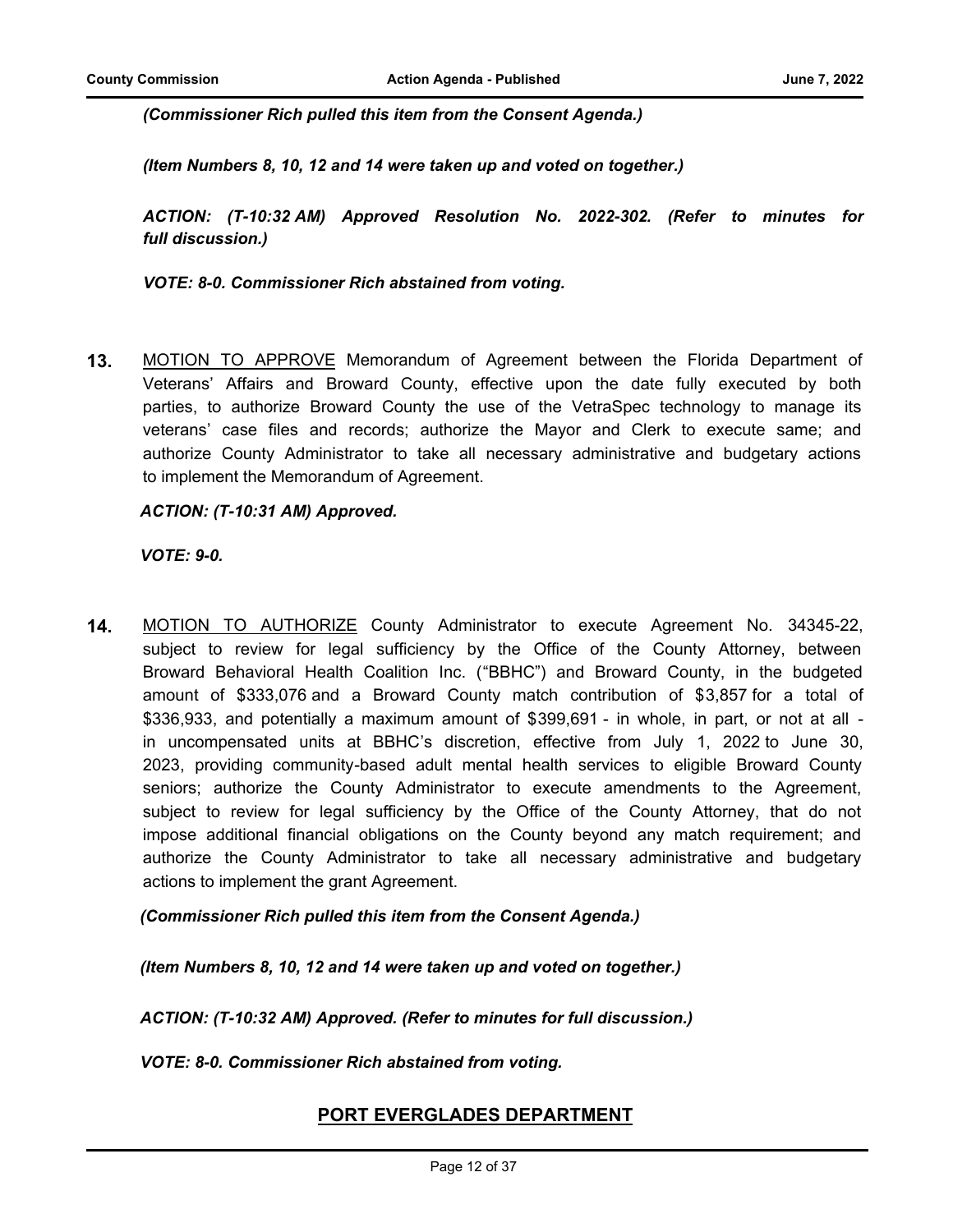*(Commissioner Rich pulled this item from the Consent Agenda.)*

*(Item Numbers 8, 10, 12 and 14 were taken up and voted on together.)*

*ACTION: (T-10:32 AM) Approved Resolution No. 2022-302. (Refer to minutes for full discussion.)*

*VOTE: 8-0. Commissioner Rich abstained from voting.*

**13.** MOTION TO APPROVE Memorandum of Agreement between the Florida Department of Veterans' Affairs and Broward County, effective upon the date fully executed by both parties, to authorize Broward County the use of the VetraSpec technology to manage its veterans' case files and records; authorize the Mayor and Clerk to execute same; and authorize County Administrator to take all necessary administrative and budgetary actions to implement the Memorandum of Agreement.

*ACTION: (T-10:31 AM) Approved.*

*VOTE: 9-0.*

**14.** MOTION TO AUTHORIZE County Administrator to execute Agreement No. 34345-22, subject to review for legal sufficiency by the Office of the County Attorney, between Broward Behavioral Health Coalition Inc. ("BBHC") and Broward County, in the budgeted amount of \$333,076 and a Broward County match contribution of \$3,857 for a total of \$336,933, and potentially a maximum amount of \$399,691 - in whole, in part, or not at all in uncompensated units at BBHC's discretion, effective from July 1, 2022 to June 30, 2023, providing community-based adult mental health services to eligible Broward County seniors; authorize the County Administrator to execute amendments to the Agreement, subject to review for legal sufficiency by the Office of the County Attorney, that do not impose additional financial obligations on the County beyond any match requirement; and authorize the County Administrator to take all necessary administrative and budgetary actions to implement the grant Agreement.

*(Commissioner Rich pulled this item from the Consent Agenda.)*

*(Item Numbers 8, 10, 12 and 14 were taken up and voted on together.)*

*ACTION: (T-10:32 AM) Approved. (Refer to minutes for full discussion.)*

*VOTE: 8-0. Commissioner Rich abstained from voting.*

# **PORT EVERGLADES DEPARTMENT**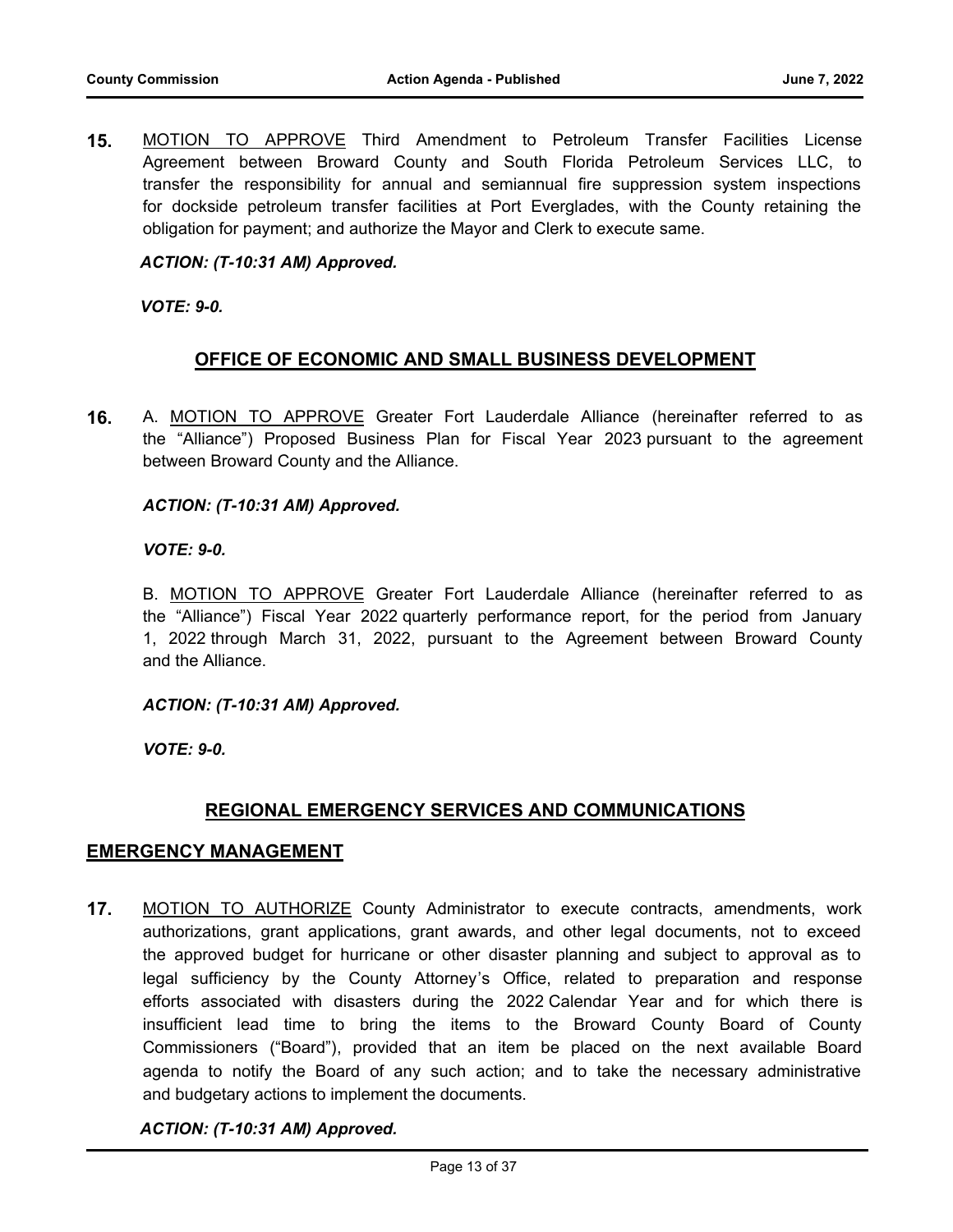**15.** MOTION TO APPROVE Third Amendment to Petroleum Transfer Facilities License Agreement between Broward County and South Florida Petroleum Services LLC, to transfer the responsibility for annual and semiannual fire suppression system inspections for dockside petroleum transfer facilities at Port Everglades, with the County retaining the obligation for payment; and authorize the Mayor and Clerk to execute same.

### *ACTION: (T-10:31 AM) Approved.*

*VOTE: 9-0.*

# **OFFICE OF ECONOMIC AND SMALL BUSINESS DEVELOPMENT**

**16.** A. MOTION TO APPROVE Greater Fort Lauderdale Alliance (hereinafter referred to as the "Alliance") Proposed Business Plan for Fiscal Year 2023 pursuant to the agreement between Broward County and the Alliance.

#### *ACTION: (T-10:31 AM) Approved.*

*VOTE: 9-0.*

B. MOTION TO APPROVE Greater Fort Lauderdale Alliance (hereinafter referred to as the "Alliance") Fiscal Year 2022 quarterly performance report, for the period from January 1, 2022 through March 31, 2022, pursuant to the Agreement between Broward County and the Alliance.

*ACTION: (T-10:31 AM) Approved.*

*VOTE: 9-0.*

# **REGIONAL EMERGENCY SERVICES AND COMMUNICATIONS**

# **EMERGENCY MANAGEMENT**

**17.** MOTION TO AUTHORIZE County Administrator to execute contracts, amendments, work authorizations, grant applications, grant awards, and other legal documents, not to exceed the approved budget for hurricane or other disaster planning and subject to approval as to legal sufficiency by the County Attorney's Office, related to preparation and response efforts associated with disasters during the 2022 Calendar Year and for which there is insufficient lead time to bring the items to the Broward County Board of County Commissioners ("Board"), provided that an item be placed on the next available Board agenda to notify the Board of any such action; and to take the necessary administrative and budgetary actions to implement the documents.

#### *ACTION: (T-10:31 AM) Approved.*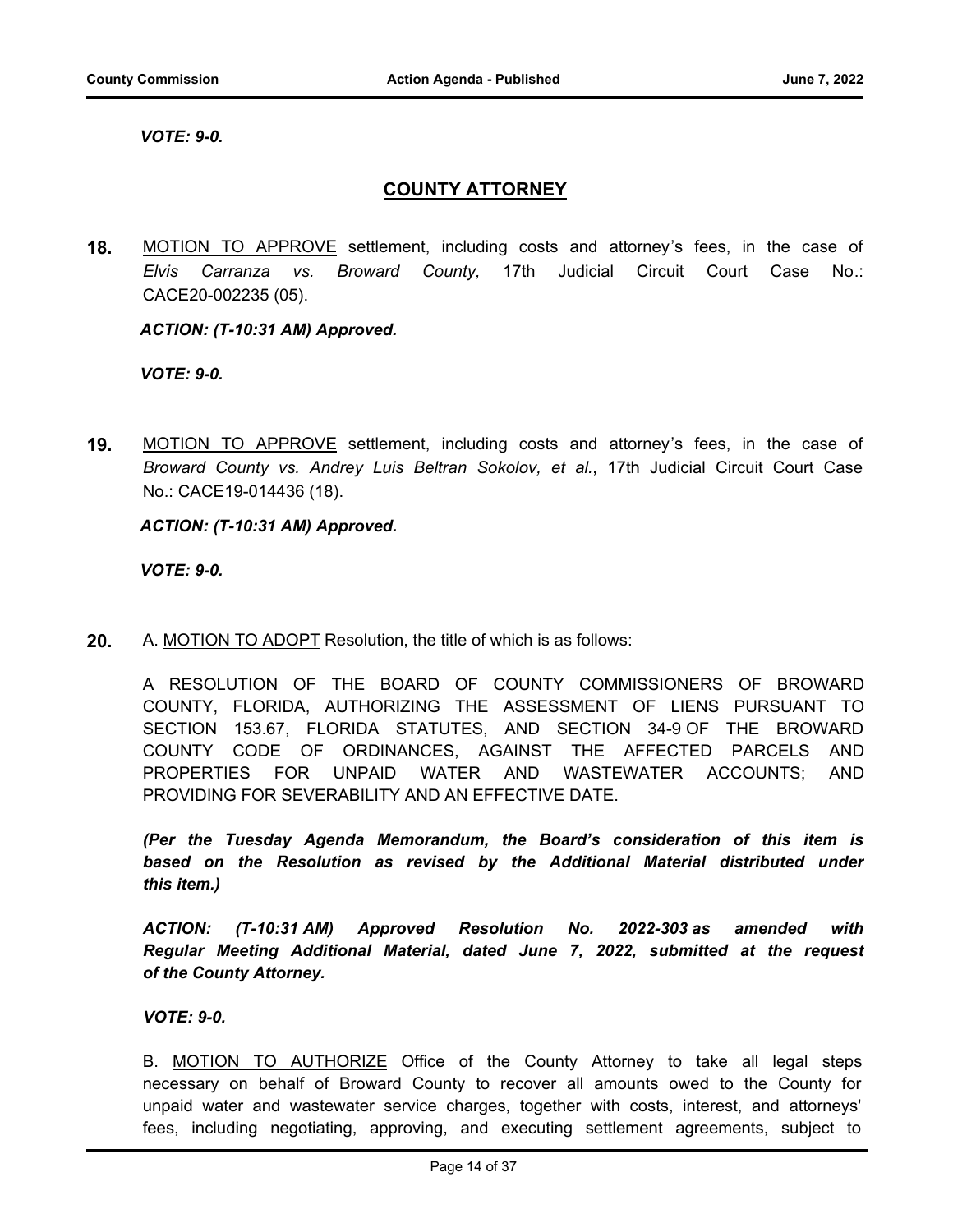*VOTE: 9-0.*

# **COUNTY ATTORNEY**

**18.** MOTION TO APPROVE settlement, including costs and attorney's fees, in the case of *Elvis Carranza vs. Broward County,* 17th Judicial Circuit Court Case No.: CACE20-002235 (05).

#### *ACTION: (T-10:31 AM) Approved.*

*VOTE: 9-0.*

**19.** MOTION TO APPROVE settlement, including costs and attorney's fees, in the case of *Broward County vs. Andrey Luis Beltran Sokolov, et al.*, 17th Judicial Circuit Court Case No.: CACE19-014436 (18).

*ACTION: (T-10:31 AM) Approved.*

*VOTE: 9-0.*

**20.** A. MOTION TO ADOPT Resolution, the title of which is as follows:

A RESOLUTION OF THE BOARD OF COUNTY COMMISSIONERS OF BROWARD COUNTY, FLORIDA, AUTHORIZING THE ASSESSMENT OF LIENS PURSUANT TO SECTION 153.67, FLORIDA STATUTES, AND SECTION 34-9 OF THE BROWARD COUNTY CODE OF ORDINANCES, AGAINST THE AFFECTED PARCELS AND PROPERTIES FOR UNPAID WATER AND WASTEWATER ACCOUNTS; AND PROVIDING FOR SEVERABILITY AND AN EFFECTIVE DATE.

*(Per the Tuesday Agenda Memorandum, the Board's consideration of this item is based on the Resolution as revised by the Additional Material distributed under this item.)*

*ACTION: (T-10:31 AM) Approved Resolution No. 2022-303 as amended with Regular Meeting Additional Material, dated June 7, 2022, submitted at the request of the County Attorney.*

*VOTE: 9-0.*

B. MOTION TO AUTHORIZE Office of the County Attorney to take all legal steps necessary on behalf of Broward County to recover all amounts owed to the County for unpaid water and wastewater service charges, together with costs, interest, and attorneys' fees, including negotiating, approving, and executing settlement agreements, subject to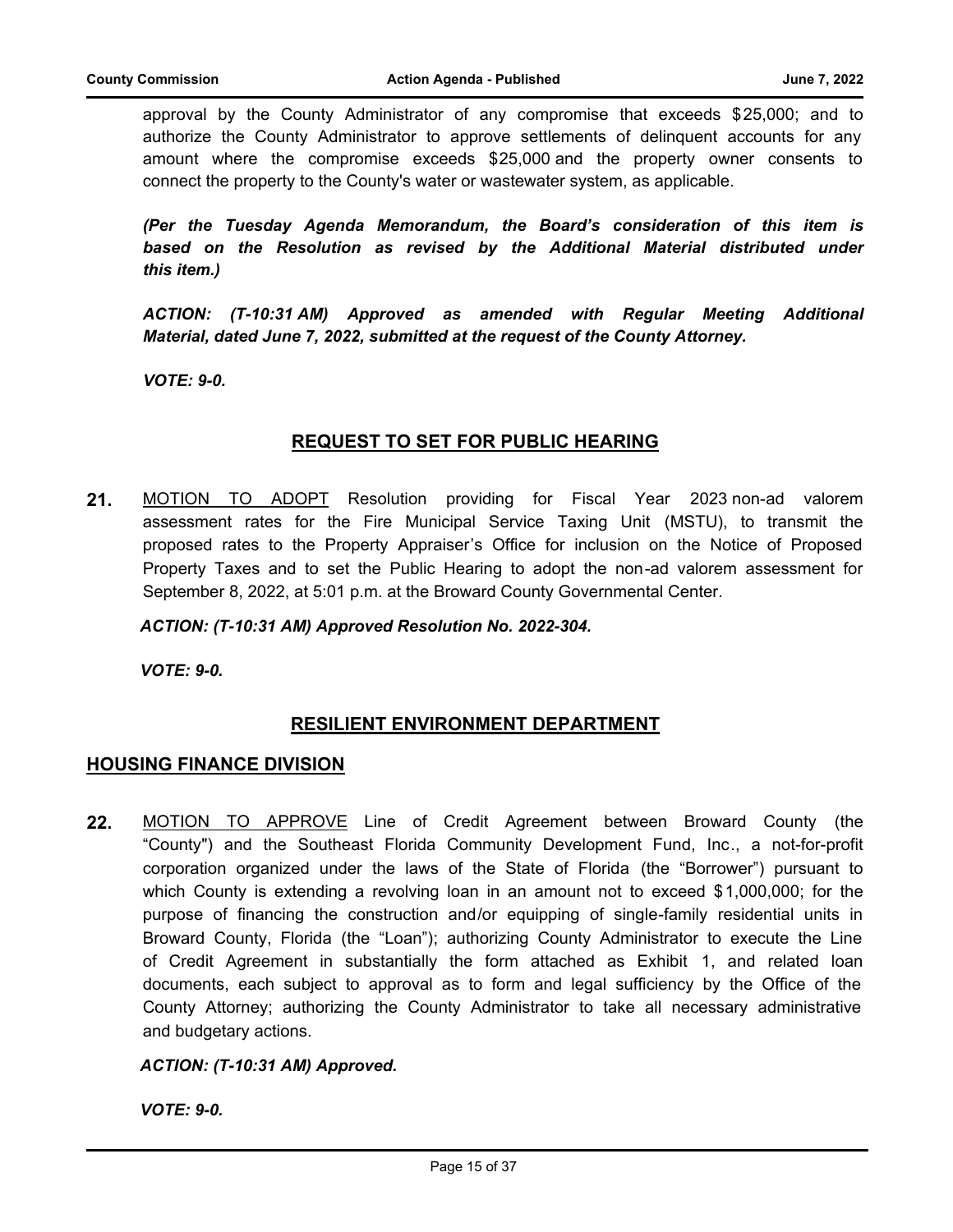approval by the County Administrator of any compromise that exceeds \$25,000; and to authorize the County Administrator to approve settlements of delinquent accounts for any amount where the compromise exceeds \$25,000 and the property owner consents to connect the property to the County's water or wastewater system, as applicable.

*(Per the Tuesday Agenda Memorandum, the Board's consideration of this item is*  based on the Resolution as revised by the Additional Material distributed under *this item.)* 

*ACTION: (T-10:31 AM) Approved as amended with Regular Meeting Additional Material, dated June 7, 2022, submitted at the request of the County Attorney.*

*VOTE: 9-0.*

# **REQUEST TO SET FOR PUBLIC HEARING**

**21.** MOTION TO ADOPT Resolution providing for Fiscal Year 2023 non-ad valorem assessment rates for the Fire Municipal Service Taxing Unit (MSTU), to transmit the proposed rates to the Property Appraiser's Office for inclusion on the Notice of Proposed Property Taxes and to set the Public Hearing to adopt the non-ad valorem assessment for September 8, 2022, at 5:01 p.m. at the Broward County Governmental Center.

#### *ACTION: (T-10:31 AM) Approved Resolution No. 2022-304.*

*VOTE: 9-0.*

# **RESILIENT ENVIRONMENT DEPARTMENT**

# **HOUSING FINANCE DIVISION**

**22.** MOTION TO APPROVE Line of Credit Agreement between Broward County (the "County") and the Southeast Florida Community Development Fund, Inc., a not-for-profit corporation organized under the laws of the State of Florida (the "Borrower") pursuant to which County is extending a revolving loan in an amount not to exceed \$1,000,000; for the purpose of financing the construction and/or equipping of single-family residential units in Broward County, Florida (the "Loan"); authorizing County Administrator to execute the Line of Credit Agreement in substantially the form attached as Exhibit 1, and related loan documents, each subject to approval as to form and legal sufficiency by the Office of the County Attorney; authorizing the County Administrator to take all necessary administrative and budgetary actions.

#### *ACTION: (T-10:31 AM) Approved.*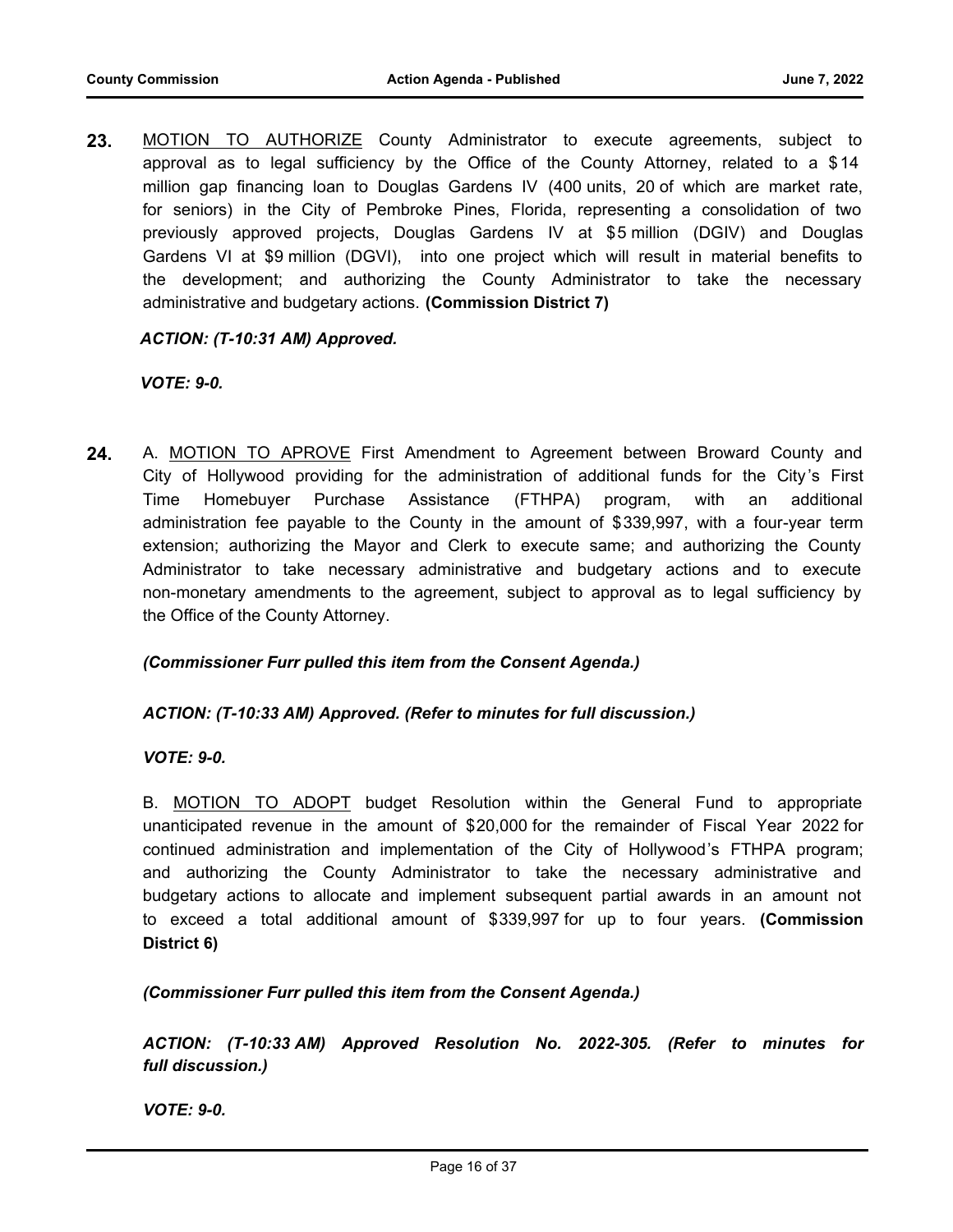**23.** MOTION TO AUTHORIZE County Administrator to execute agreements, subject to approval as to legal sufficiency by the Office of the County Attorney, related to a \$14 million gap financing loan to Douglas Gardens IV (400 units, 20 of which are market rate, for seniors) in the City of Pembroke Pines, Florida, representing a consolidation of two previously approved projects, Douglas Gardens IV at \$5 million (DGIV) and Douglas Gardens VI at \$9 million (DGVI), into one project which will result in material benefits to the development; and authorizing the County Administrator to take the necessary administrative and budgetary actions. **(Commission District 7)**

# *ACTION: (T-10:31 AM) Approved.*

#### *VOTE: 9-0.*

**24.** A. MOTION TO APROVE First Amendment to Agreement between Broward County and City of Hollywood providing for the administration of additional funds for the City 's First Time Homebuyer Purchase Assistance (FTHPA) program, with an additional administration fee payable to the County in the amount of \$339,997, with a four-year term extension; authorizing the Mayor and Clerk to execute same; and authorizing the County Administrator to take necessary administrative and budgetary actions and to execute non-monetary amendments to the agreement, subject to approval as to legal sufficiency by the Office of the County Attorney.

#### *(Commissioner Furr pulled this item from the Consent Agenda.)*

#### *ACTION: (T-10:33 AM) Approved. (Refer to minutes for full discussion.)*

*VOTE: 9-0.*

B. MOTION TO ADOPT budget Resolution within the General Fund to appropriate unanticipated revenue in the amount of \$20,000 for the remainder of Fiscal Year 2022 for continued administration and implementation of the City of Hollywood's FTHPA program; and authorizing the County Administrator to take the necessary administrative and budgetary actions to allocate and implement subsequent partial awards in an amount not to exceed a total additional amount of \$339,997 for up to four years. **(Commission District 6)**

*(Commissioner Furr pulled this item from the Consent Agenda.)*

*ACTION: (T-10:33 AM) Approved Resolution No. 2022-305. (Refer to minutes for full discussion.)*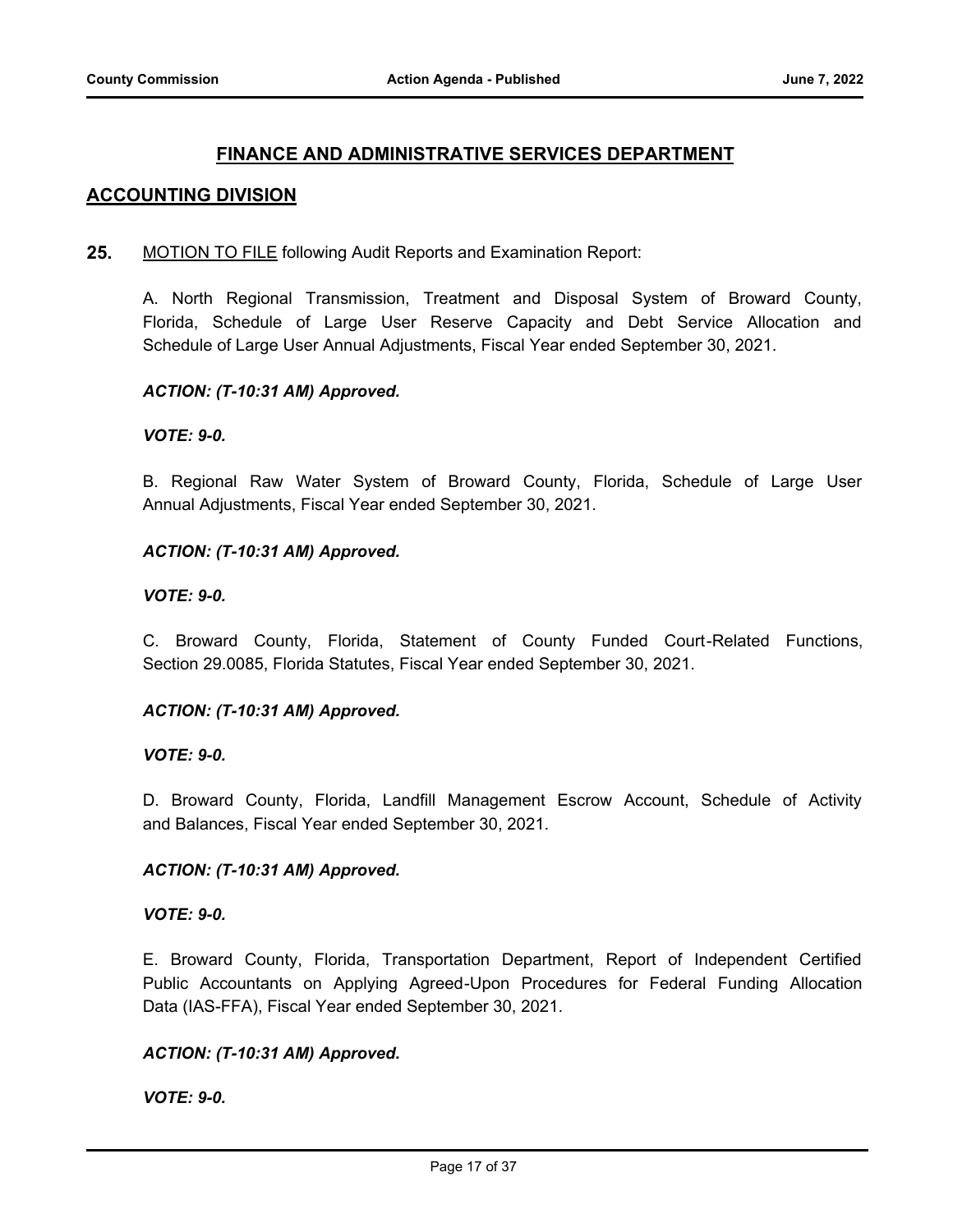# **FINANCE AND ADMINISTRATIVE SERVICES DEPARTMENT**

# **ACCOUNTING DIVISION**

**25.** MOTION TO FILE following Audit Reports and Examination Report:

A. North Regional Transmission, Treatment and Disposal System of Broward County, Florida, Schedule of Large User Reserve Capacity and Debt Service Allocation and Schedule of Large User Annual Adjustments, Fiscal Year ended September 30, 2021.

#### *ACTION: (T-10:31 AM) Approved.*

#### *VOTE: 9-0.*

B. Regional Raw Water System of Broward County, Florida, Schedule of Large User Annual Adjustments, Fiscal Year ended September 30, 2021.

#### *ACTION: (T-10:31 AM) Approved.*

#### *VOTE: 9-0.*

C. Broward County, Florida, Statement of County Funded Court-Related Functions, Section 29.0085, Florida Statutes, Fiscal Year ended September 30, 2021.

#### *ACTION: (T-10:31 AM) Approved.*

*VOTE: 9-0.*

D. Broward County, Florida, Landfill Management Escrow Account, Schedule of Activity and Balances, Fiscal Year ended September 30, 2021.

#### *ACTION: (T-10:31 AM) Approved.*

#### *VOTE: 9-0.*

E. Broward County, Florida, Transportation Department, Report of Independent Certified Public Accountants on Applying Agreed-Upon Procedures for Federal Funding Allocation Data (IAS-FFA), Fiscal Year ended September 30, 2021.

#### *ACTION: (T-10:31 AM) Approved.*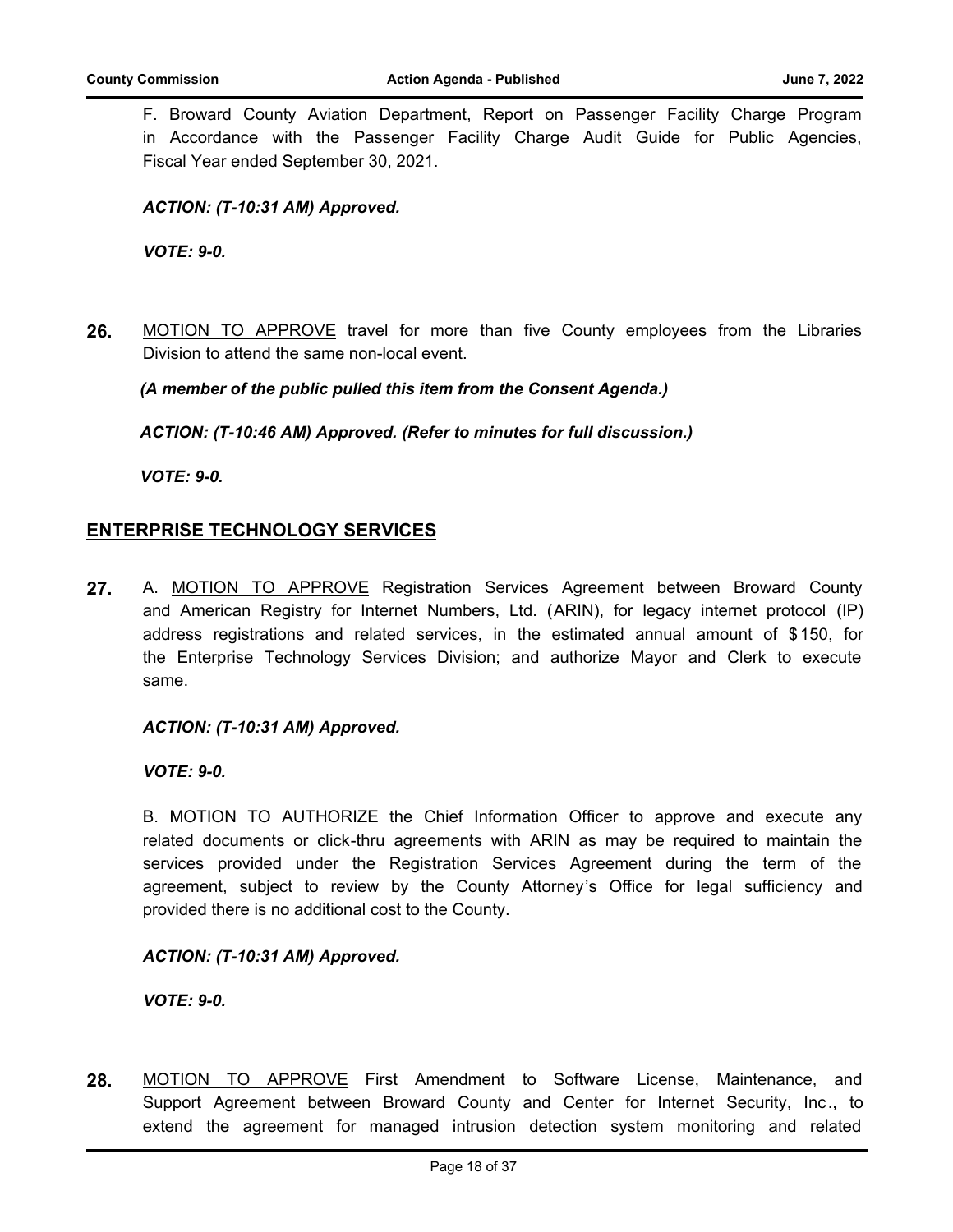F. Broward County Aviation Department, Report on Passenger Facility Charge Program in Accordance with the Passenger Facility Charge Audit Guide for Public Agencies, Fiscal Year ended September 30, 2021.

# *ACTION: (T-10:31 AM) Approved.*

*VOTE: 9-0.*

**26.** MOTION TO APPROVE travel for more than five County employees from the Libraries Division to attend the same non-local event.

# *(A member of the public pulled this item from the Consent Agenda.)*

*ACTION: (T-10:46 AM) Approved. (Refer to minutes for full discussion.)*

*VOTE: 9-0.*

# **ENTERPRISE TECHNOLOGY SERVICES**

**27.** A. MOTION TO APPROVE Registration Services Agreement between Broward County and American Registry for Internet Numbers, Ltd. (ARIN), for legacy internet protocol (IP) address registrations and related services, in the estimated annual amount of \$ 150, for the Enterprise Technology Services Division; and authorize Mayor and Clerk to execute same.

#### *ACTION: (T-10:31 AM) Approved.*

*VOTE: 9-0.*

B. MOTION TO AUTHORIZE the Chief Information Officer to approve and execute any related documents or click-thru agreements with ARIN as may be required to maintain the services provided under the Registration Services Agreement during the term of the agreement, subject to review by the County Attorney's Office for legal sufficiency and provided there is no additional cost to the County.

#### *ACTION: (T-10:31 AM) Approved.*

*VOTE: 9-0.*

**28.** MOTION TO APPROVE First Amendment to Software License, Maintenance, and Support Agreement between Broward County and Center for Internet Security, Inc., to extend the agreement for managed intrusion detection system monitoring and related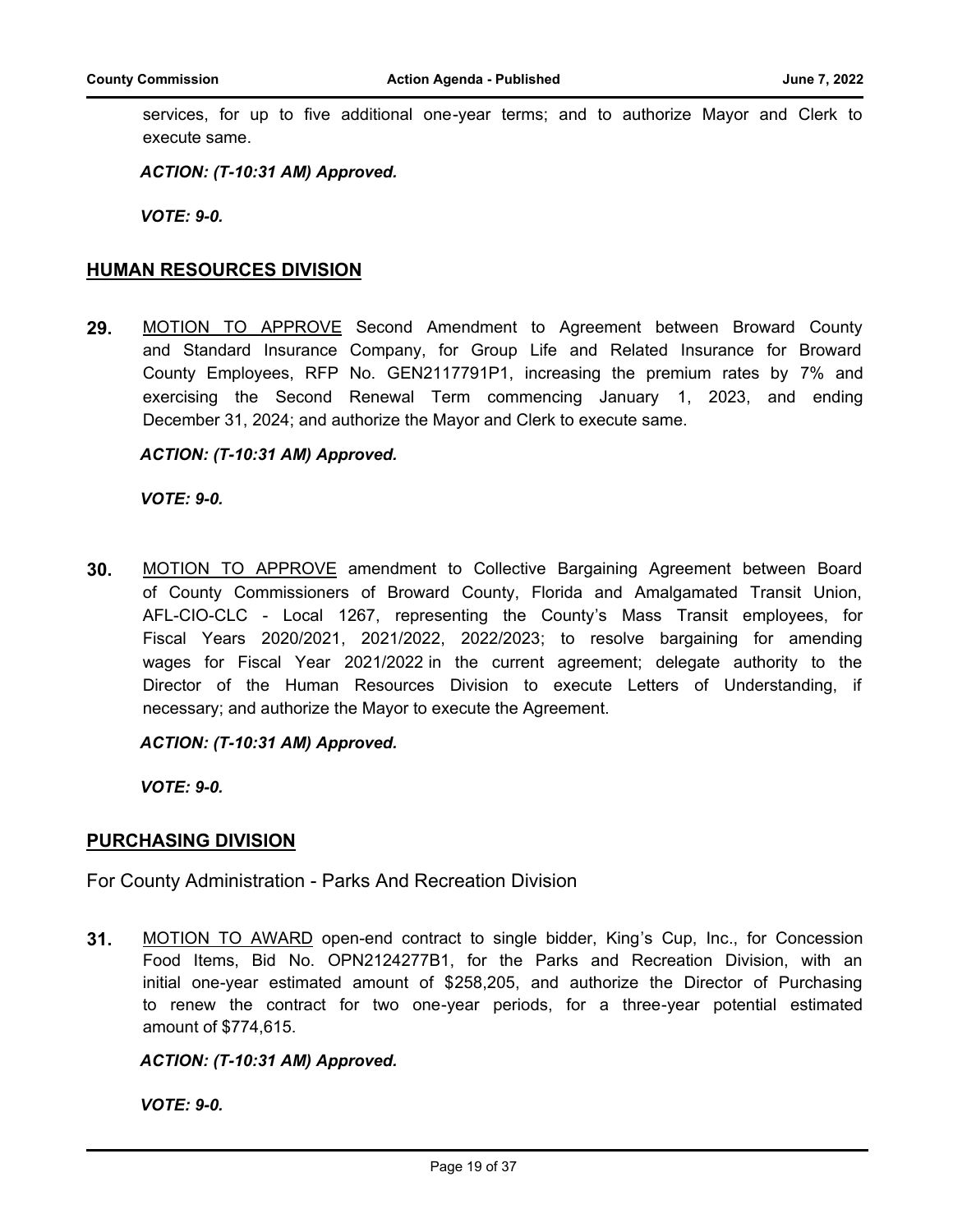services, for up to five additional one-year terms; and to authorize Mayor and Clerk to execute same.

*ACTION: (T-10:31 AM) Approved.*

*VOTE: 9-0.*

### **HUMAN RESOURCES DIVISION**

**29.** MOTION TO APPROVE Second Amendment to Agreement between Broward County and Standard Insurance Company, for Group Life and Related Insurance for Broward County Employees, RFP No. GEN2117791P1, increasing the premium rates by 7% and exercising the Second Renewal Term commencing January 1, 2023, and ending December 31, 2024; and authorize the Mayor and Clerk to execute same.

#### *ACTION: (T-10:31 AM) Approved.*

*VOTE: 9-0.*

**30.** MOTION TO APPROVE amendment to Collective Bargaining Agreement between Board of County Commissioners of Broward County, Florida and Amalgamated Transit Union, AFL-CIO-CLC - Local 1267, representing the County's Mass Transit employees, for Fiscal Years 2020/2021, 2021/2022, 2022/2023; to resolve bargaining for amending wages for Fiscal Year 2021/2022 in the current agreement; delegate authority to the Director of the Human Resources Division to execute Letters of Understanding, if necessary; and authorize the Mayor to execute the Agreement.

*ACTION: (T-10:31 AM) Approved.*

*VOTE: 9-0.*

#### **PURCHASING DIVISION**

For County Administration - Parks And Recreation Division

**31.** MOTION TO AWARD open-end contract to single bidder, King's Cup, Inc., for Concession Food Items, Bid No. OPN2124277B1, for the Parks and Recreation Division, with an initial one-year estimated amount of \$258,205, and authorize the Director of Purchasing to renew the contract for two one-year periods, for a three-year potential estimated amount of \$774,615.

#### *ACTION: (T-10:31 AM) Approved.*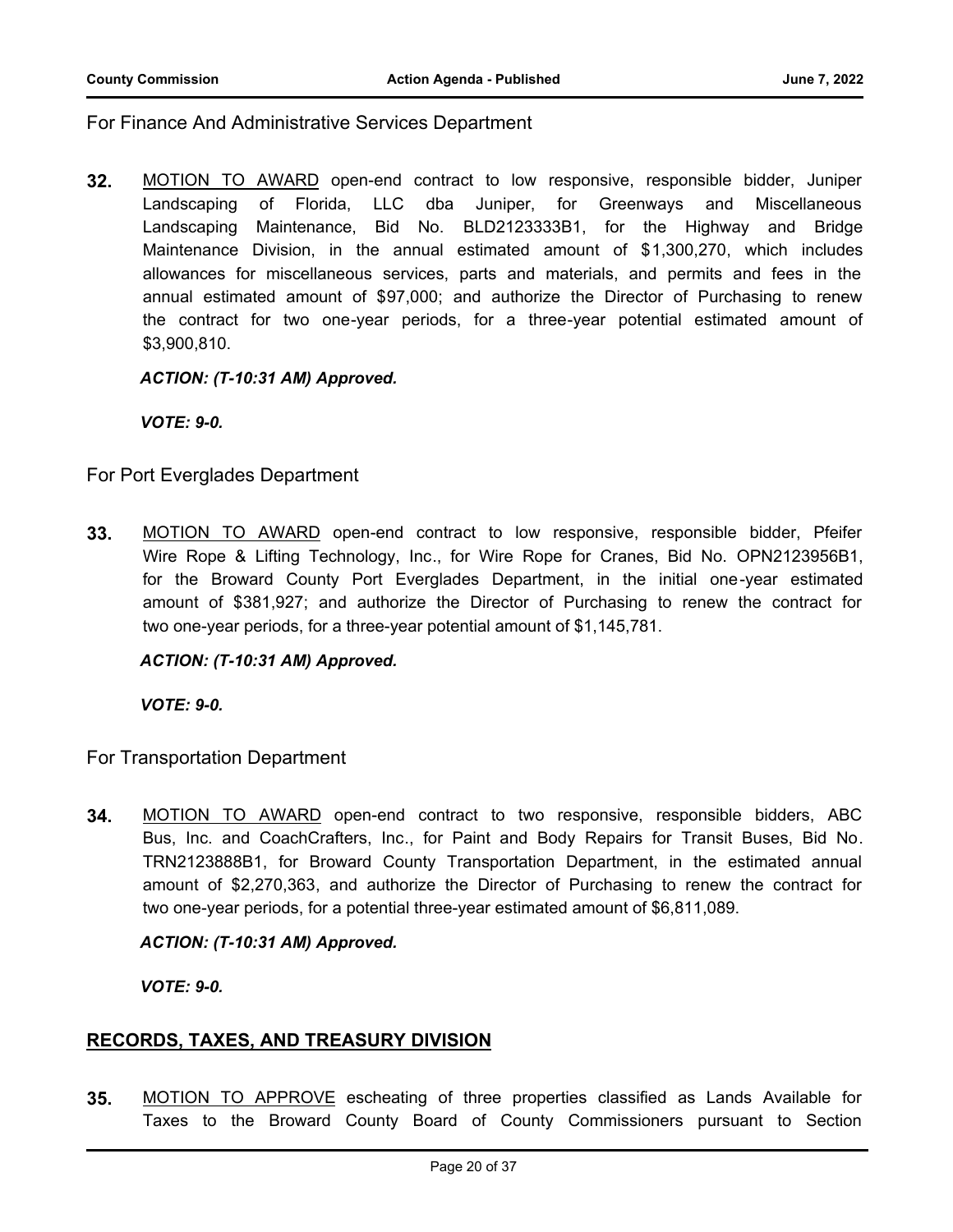For Finance And Administrative Services Department

**32.** MOTION TO AWARD open-end contract to low responsive, responsible bidder, Juniper Landscaping of Florida, LLC dba Juniper, for Greenways and Miscellaneous Landscaping Maintenance, Bid No. BLD2123333B1, for the Highway and Bridge Maintenance Division, in the annual estimated amount of \$1,300,270, which includes allowances for miscellaneous services, parts and materials, and permits and fees in the annual estimated amount of \$97,000; and authorize the Director of Purchasing to renew the contract for two one-year periods, for a three-year potential estimated amount of \$3,900,810.

*ACTION: (T-10:31 AM) Approved.*

*VOTE: 9-0.*

For Port Everglades Department

**33.** MOTION TO AWARD open-end contract to low responsive, responsible bidder, Pfeifer Wire Rope & Lifting Technology, Inc., for Wire Rope for Cranes, Bid No. OPN2123956B1, for the Broward County Port Everglades Department, in the initial one-year estimated amount of \$381,927; and authorize the Director of Purchasing to renew the contract for two one-year periods, for a three-year potential amount of \$1,145,781.

*ACTION: (T-10:31 AM) Approved.*

*VOTE: 9-0.*

For Transportation Department

**34.** MOTION TO AWARD open-end contract to two responsive, responsible bidders, ABC Bus, Inc. and CoachCrafters, Inc., for Paint and Body Repairs for Transit Buses, Bid No. TRN2123888B1, for Broward County Transportation Department, in the estimated annual amount of \$2,270,363, and authorize the Director of Purchasing to renew the contract for two one-year periods, for a potential three-year estimated amount of \$6,811,089.

#### *ACTION: (T-10:31 AM) Approved.*

*VOTE: 9-0.*

# **RECORDS, TAXES, AND TREASURY DIVISION**

**35.** MOTION TO APPROVE escheating of three properties classified as Lands Available for Taxes to the Broward County Board of County Commissioners pursuant to Section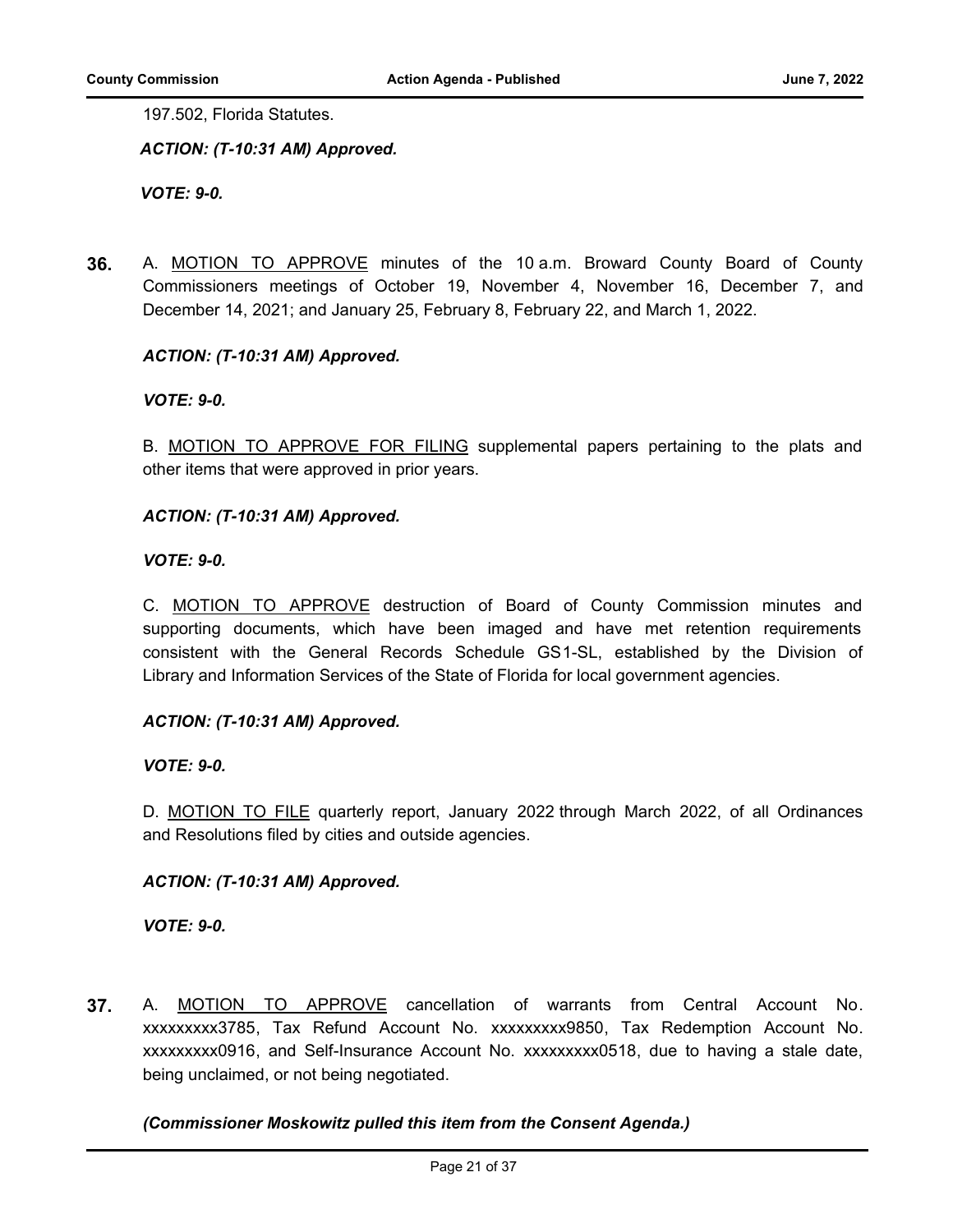197.502, Florida Statutes.

*ACTION: (T-10:31 AM) Approved.*

*VOTE: 9-0.*

**36.** A. MOTION TO APPROVE minutes of the 10 a.m. Broward County Board of County Commissioners meetings of October 19, November 4, November 16, December 7, and December 14, 2021; and January 25, February 8, February 22, and March 1, 2022.

# *ACTION: (T-10:31 AM) Approved.*

*VOTE: 9-0.*

B. MOTION TO APPROVE FOR FILING supplemental papers pertaining to the plats and other items that were approved in prior years.

#### *ACTION: (T-10:31 AM) Approved.*

*VOTE: 9-0.*

C. MOTION TO APPROVE destruction of Board of County Commission minutes and supporting documents, which have been imaged and have met retention requirements consistent with the General Records Schedule GS1-SL, established by the Division of Library and Information Services of the State of Florida for local government agencies.

#### *ACTION: (T-10:31 AM) Approved.*

#### *VOTE: 9-0.*

D. MOTION TO FILE quarterly report, January 2022 through March 2022, of all Ordinances and Resolutions filed by cities and outside agencies.

#### *ACTION: (T-10:31 AM) Approved.*

*VOTE: 9-0.*

**37.** A. MOTION TO APPROVE cancellation of warrants from Central Account No. xxxxxxxxx3785, Tax Refund Account No. xxxxxxxxx9850, Tax Redemption Account No. xxxxxxxxx0916, and Self-Insurance Account No. xxxxxxxxx0518, due to having a stale date, being unclaimed, or not being negotiated.

#### *(Commissioner Moskowitz pulled this item from the Consent Agenda.)*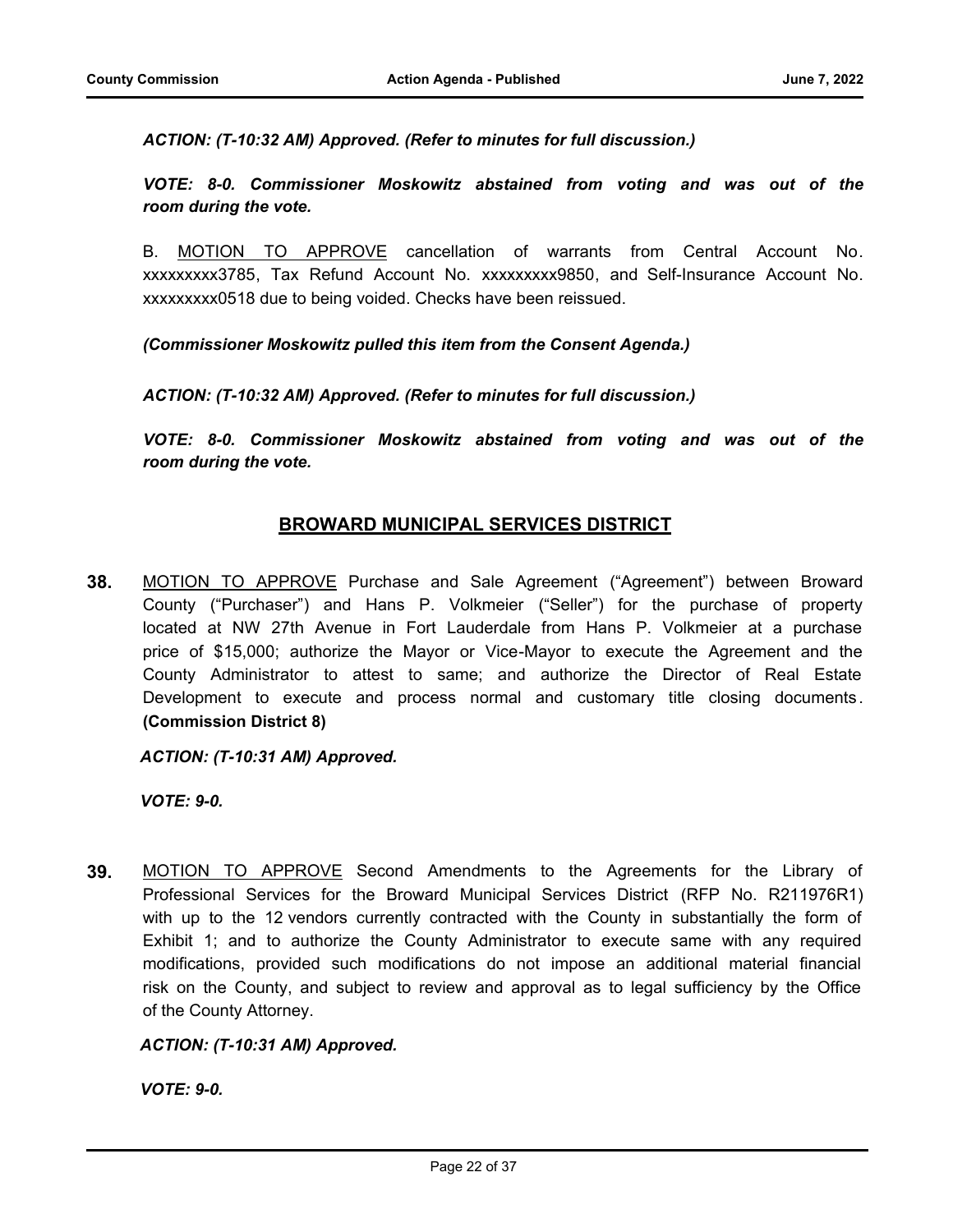*ACTION: (T-10:32 AM) Approved. (Refer to minutes for full discussion.)*

*VOTE: 8-0. Commissioner Moskowitz abstained from voting and was out of the room during the vote.*

B. MOTION TO APPROVE cancellation of warrants from Central Account No. xxxxxxxxx3785, Tax Refund Account No. xxxxxxxxx9850, and Self-Insurance Account No. xxxxxxxxx0518 due to being voided. Checks have been reissued.

*(Commissioner Moskowitz pulled this item from the Consent Agenda.)*

*ACTION: (T-10:32 AM) Approved. (Refer to minutes for full discussion.)*

*VOTE: 8-0. Commissioner Moskowitz abstained from voting and was out of the room during the vote.*

# **BROWARD MUNICIPAL SERVICES DISTRICT**

**38.** MOTION TO APPROVE Purchase and Sale Agreement ("Agreement") between Broward County ("Purchaser") and Hans P. Volkmeier ("Seller") for the purchase of property located at NW 27th Avenue in Fort Lauderdale from Hans P. Volkmeier at a purchase price of \$15,000; authorize the Mayor or Vice-Mayor to execute the Agreement and the County Administrator to attest to same; and authorize the Director of Real Estate Development to execute and process normal and customary title closing documents . **(Commission District 8)**

*ACTION: (T-10:31 AM) Approved.*

*VOTE: 9-0.*

**39.** MOTION TO APPROVE Second Amendments to the Agreements for the Library of Professional Services for the Broward Municipal Services District (RFP No. R211976R1) with up to the 12 vendors currently contracted with the County in substantially the form of Exhibit 1; and to authorize the County Administrator to execute same with any required modifications, provided such modifications do not impose an additional material financial risk on the County, and subject to review and approval as to legal sufficiency by the Office of the County Attorney.

*ACTION: (T-10:31 AM) Approved.*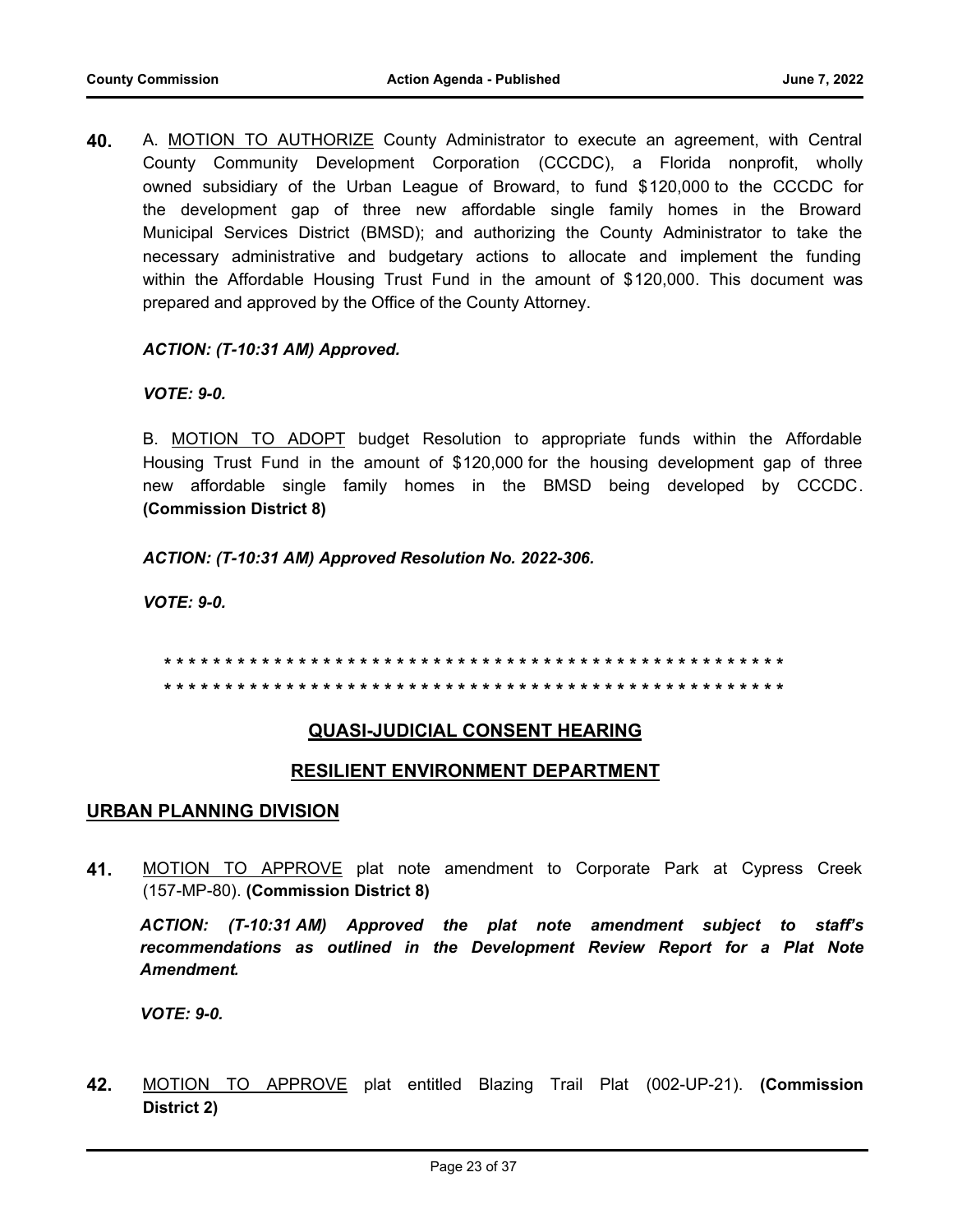**40.** A. MOTION TO AUTHORIZE County Administrator to execute an agreement, with Central County Community Development Corporation (CCCDC), a Florida nonprofit, wholly owned subsidiary of the Urban League of Broward, to fund \$120,000 to the CCCDC for the development gap of three new affordable single family homes in the Broward Municipal Services District (BMSD); and authorizing the County Administrator to take the necessary administrative and budgetary actions to allocate and implement the funding within the Affordable Housing Trust Fund in the amount of \$120,000. This document was prepared and approved by the Office of the County Attorney.

#### *ACTION: (T-10:31 AM) Approved.*

#### *VOTE: 9-0.*

B. MOTION TO ADOPT budget Resolution to appropriate funds within the Affordable Housing Trust Fund in the amount of \$120,000 for the housing development gap of three new affordable single family homes in the BMSD being developed by CCCDC. **(Commission District 8)**

*ACTION: (T-10:31 AM) Approved Resolution No. 2022-306.*

*VOTE: 9-0.*

**\* \* \* \* \* \* \* \* \* \* \* \* \* \* \* \* \* \* \* \* \* \* \* \* \* \* \* \* \* \* \* \* \* \* \* \* \* \* \* \* \* \* \* \* \* \* \* \* \* \* \* \* \* \* \* \* \* \* \* \* \* \* \* \* \* \* \* \* \* \* \* \* \* \* \* \* \* \* \* \* \* \* \* \* \* \* \* \* \* \* \* \* \* \* \* \* \* \* \* \* \* \***

# **QUASI-JUDICIAL CONSENT HEARING**

#### **RESILIENT ENVIRONMENT DEPARTMENT**

#### **URBAN PLANNING DIVISION**

**41.** MOTION TO APPROVE plat note amendment to Corporate Park at Cypress Creek (157-MP-80). **(Commission District 8)**

*ACTION: (T-10:31 AM) Approved the plat note amendment subject to staff's recommendations as outlined in the Development Review Report for a Plat Note Amendment.*

*VOTE: 9-0.* 

**42.** MOTION TO APPROVE plat entitled Blazing Trail Plat (002-UP-21). **(Commission District 2)**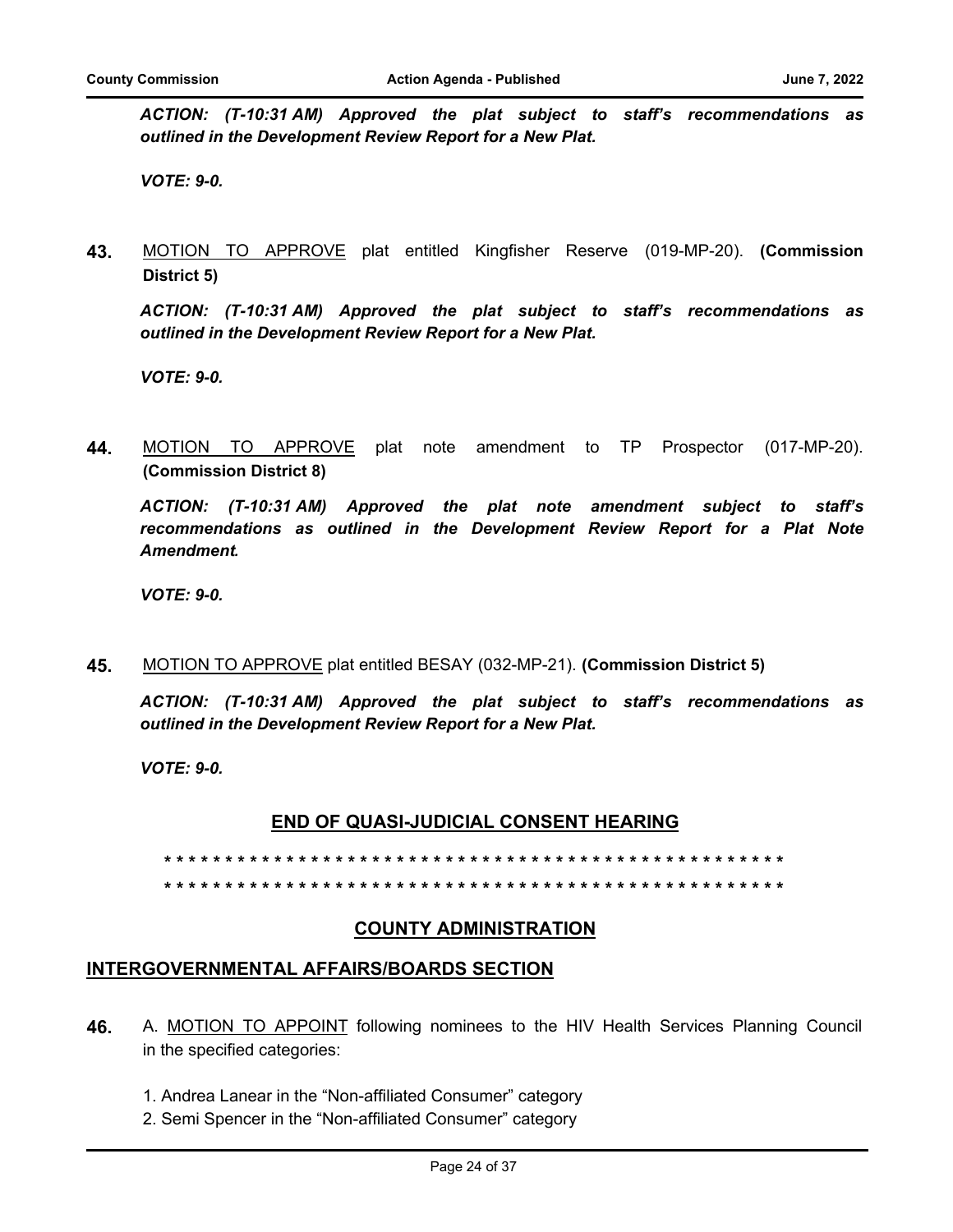*ACTION: (T-10:31 AM) Approved the plat subject to staff's recommendations as outlined in the Development Review Report for a New Plat.*

*VOTE: 9-0.*

**43.** MOTION TO APPROVE plat entitled Kingfisher Reserve (019-MP-20). **(Commission District 5)**

*ACTION: (T-10:31 AM) Approved the plat subject to staff's recommendations as outlined in the Development Review Report for a New Plat.*

*VOTE: 9-0.*

**44.** MOTION TO APPROVE plat note amendment to TP Prospector (017-MP-20). **(Commission District 8)**

*ACTION: (T-10:31 AM) Approved the plat note amendment subject to staff's recommendations as outlined in the Development Review Report for a Plat Note Amendment.*

*VOTE: 9-0.* 

**45.** MOTION TO APPROVE plat entitled BESAY (032-MP-21). **(Commission District 5)**

*ACTION: (T-10:31 AM) Approved the plat subject to staff's recommendations as outlined in the Development Review Report for a New Plat.*

*VOTE: 9-0.*

#### **END OF QUASI-JUDICIAL CONSENT HEARING**

**\* \* \* \* \* \* \* \* \* \* \* \* \* \* \* \* \* \* \* \* \* \* \* \* \* \* \* \* \* \* \* \* \* \* \* \* \* \* \* \* \* \* \* \* \* \* \* \* \* \* \* \* \* \* \* \* \* \* \* \* \* \* \* \* \* \* \* \* \* \* \* \* \* \* \* \* \* \* \* \* \* \* \* \* \* \* \* \* \* \* \* \* \* \* \* \* \* \* \* \* \* \***

# **COUNTY ADMINISTRATION**

# **INTERGOVERNMENTAL AFFAIRS/BOARDS SECTION**

- **46.** A. MOTION TO APPOINT following nominees to the HIV Health Services Planning Council in the specified categories:
	- 1. Andrea Lanear in the "Non-affiliated Consumer" category
	- 2. Semi Spencer in the "Non-affiliated Consumer" category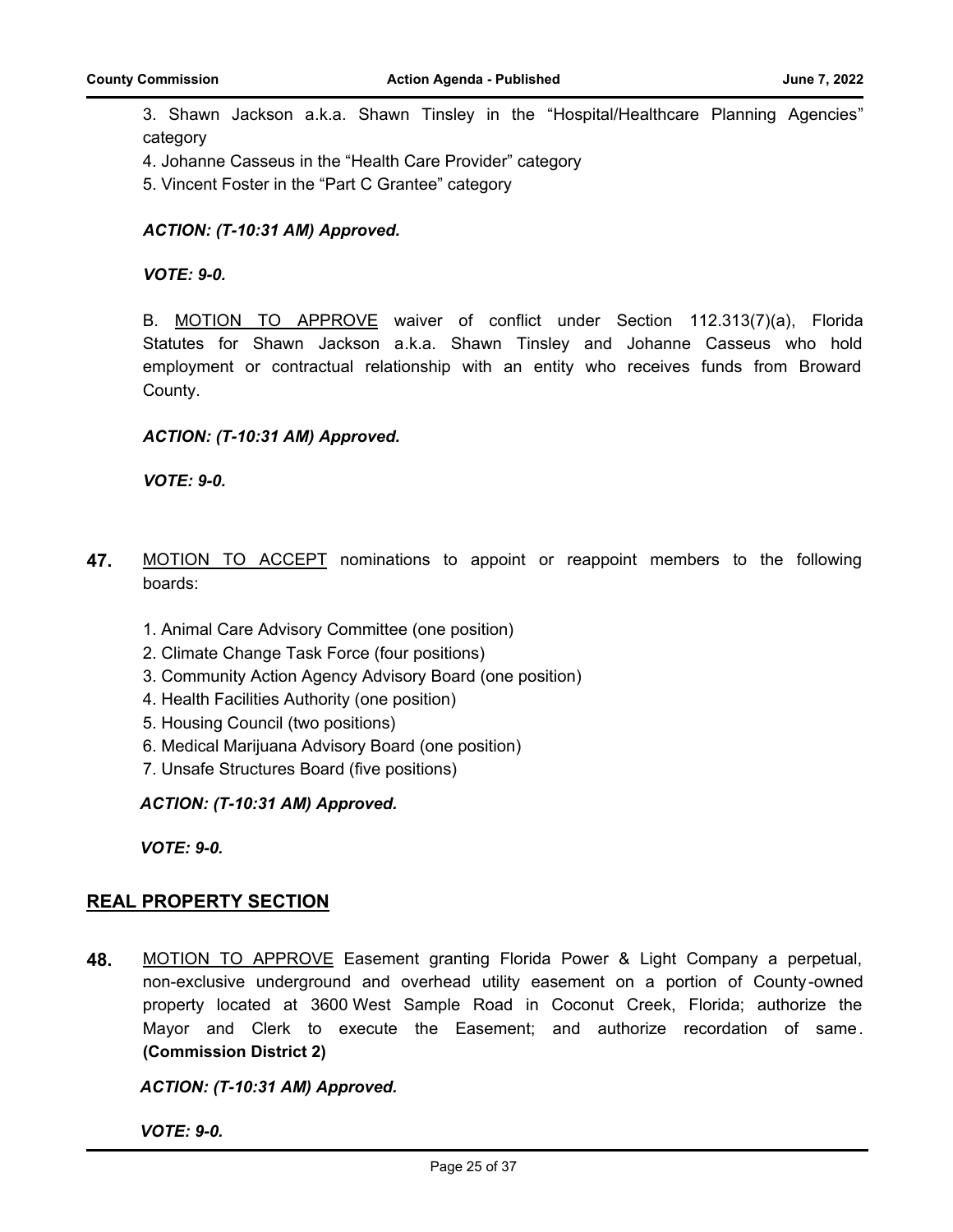3. Shawn Jackson a.k.a. Shawn Tinsley in the "Hospital/Healthcare Planning Agencies" category

4. Johanne Casseus in the "Health Care Provider" category

5. Vincent Foster in the "Part C Grantee" category

### *ACTION: (T-10:31 AM) Approved.*

*VOTE: 9-0.*

B. MOTION TO APPROVE waiver of conflict under Section 112.313(7)(a), Florida Statutes for Shawn Jackson a.k.a. Shawn Tinsley and Johanne Casseus who hold employment or contractual relationship with an entity who receives funds from Broward County.

#### *ACTION: (T-10:31 AM) Approved.*

*VOTE: 9-0.*

- **47.** MOTION TO ACCEPT nominations to appoint or reappoint members to the following boards:
	- 1. Animal Care Advisory Committee (one position)
	- 2. Climate Change Task Force (four positions)
	- 3. Community Action Agency Advisory Board (one position)
	- 4. Health Facilities Authority (one position)
	- 5. Housing Council (two positions)
	- 6. Medical Marijuana Advisory Board (one position)
	- 7. Unsafe Structures Board (five positions)

*ACTION: (T-10:31 AM) Approved.*

*VOTE: 9-0.*

# **REAL PROPERTY SECTION**

**48.** MOTION TO APPROVE Easement granting Florida Power & Light Company a perpetual, non-exclusive underground and overhead utility easement on a portion of County -owned property located at 3600 West Sample Road in Coconut Creek, Florida; authorize the Mayor and Clerk to execute the Easement; and authorize recordation of same. **(Commission District 2)**

*ACTION: (T-10:31 AM) Approved.*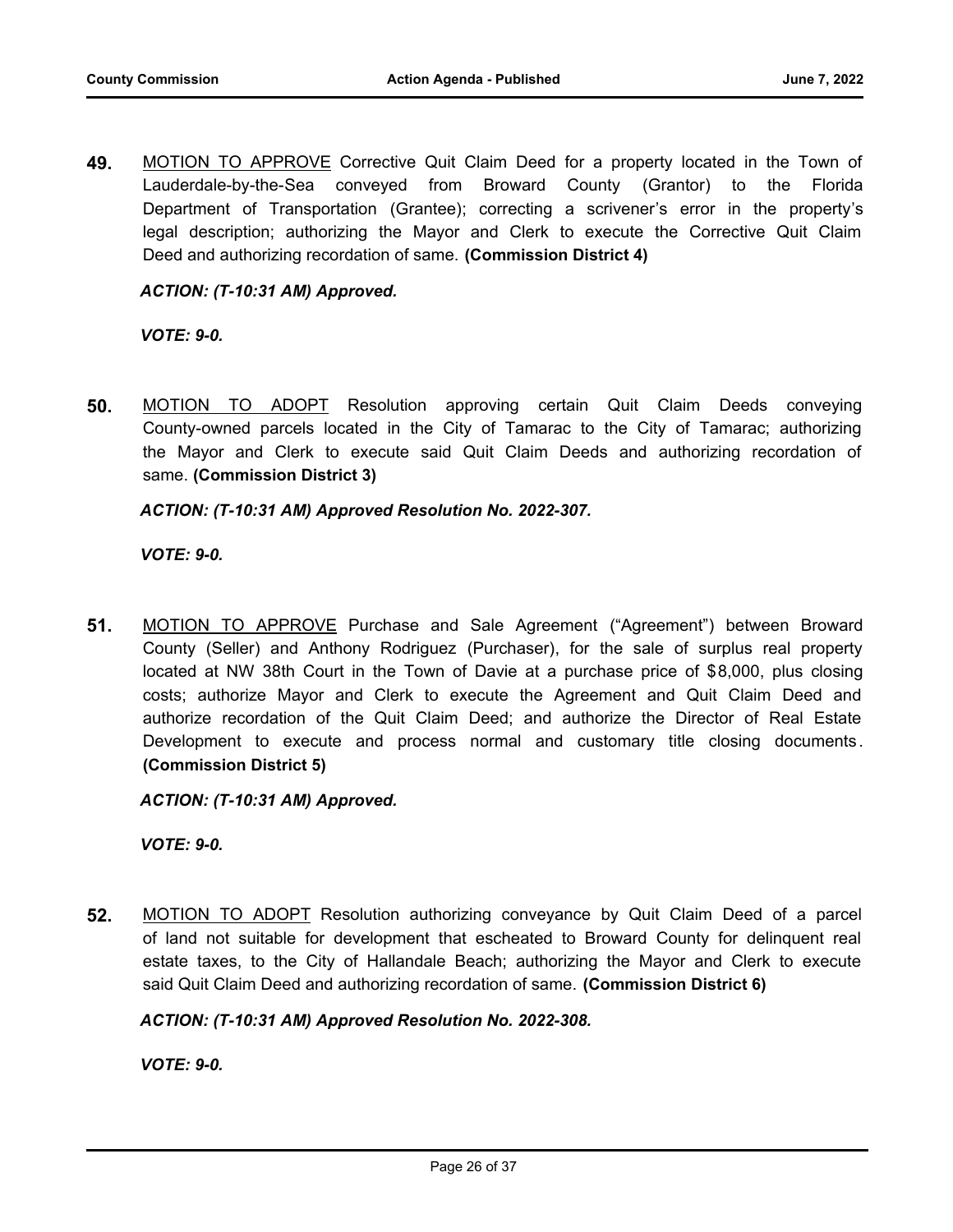**49.** MOTION TO APPROVE Corrective Quit Claim Deed for a property located in the Town of Lauderdale-by-the-Sea conveyed from Broward County (Grantor) to the Florida Department of Transportation (Grantee); correcting a scrivener's error in the property's legal description; authorizing the Mayor and Clerk to execute the Corrective Quit Claim Deed and authorizing recordation of same. **(Commission District 4)**

# *ACTION: (T-10:31 AM) Approved.*

*VOTE: 9-0.*

**50.** MOTION TO ADOPT Resolution approving certain Quit Claim Deeds conveying County-owned parcels located in the City of Tamarac to the City of Tamarac; authorizing the Mayor and Clerk to execute said Quit Claim Deeds and authorizing recordation of same. **(Commission District 3)**

#### *ACTION: (T-10:31 AM) Approved Resolution No. 2022-307.*

*VOTE: 9-0.*

**51.** MOTION TO APPROVE Purchase and Sale Agreement ("Agreement") between Broward County (Seller) and Anthony Rodriguez (Purchaser), for the sale of surplus real property located at NW 38th Court in the Town of Davie at a purchase price of \$8,000, plus closing costs; authorize Mayor and Clerk to execute the Agreement and Quit Claim Deed and authorize recordation of the Quit Claim Deed; and authorize the Director of Real Estate Development to execute and process normal and customary title closing documents . **(Commission District 5)**

*ACTION: (T-10:31 AM) Approved.*

*VOTE: 9-0.*

**52.** MOTION TO ADOPT Resolution authorizing conveyance by Quit Claim Deed of a parcel of land not suitable for development that escheated to Broward County for delinquent real estate taxes, to the City of Hallandale Beach; authorizing the Mayor and Clerk to execute said Quit Claim Deed and authorizing recordation of same. **(Commission District 6)**

#### *ACTION: (T-10:31 AM) Approved Resolution No. 2022-308.*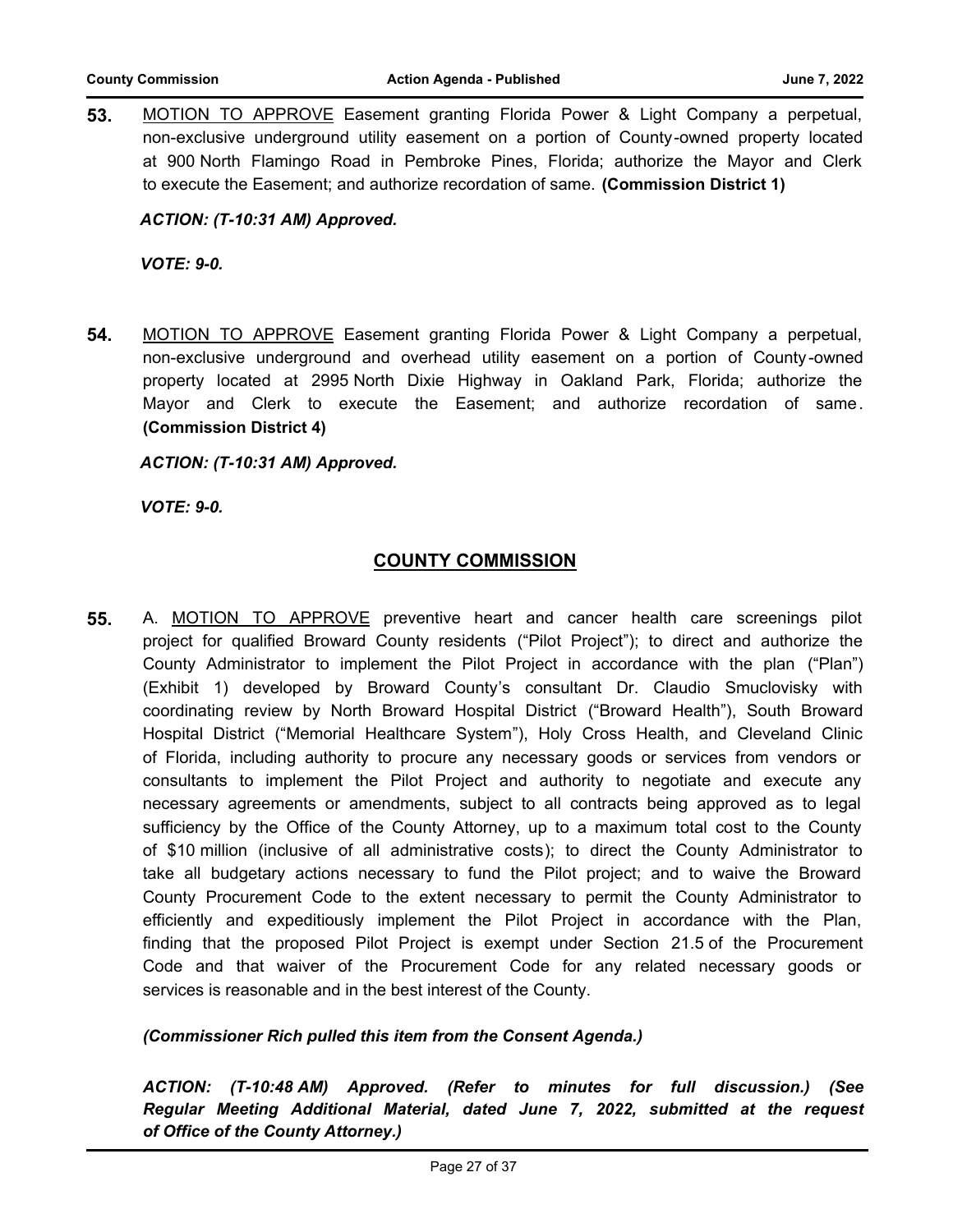**53.** MOTION TO APPROVE Easement granting Florida Power & Light Company a perpetual, non-exclusive underground utility easement on a portion of County-owned property located at 900 North Flamingo Road in Pembroke Pines, Florida; authorize the Mayor and Clerk to execute the Easement; and authorize recordation of same. **(Commission District 1)**

*ACTION: (T-10:31 AM) Approved.*

*VOTE: 9-0.*

**54.** MOTION TO APPROVE Easement granting Florida Power & Light Company a perpetual, non-exclusive underground and overhead utility easement on a portion of County -owned property located at 2995 North Dixie Highway in Oakland Park, Florida; authorize the Mayor and Clerk to execute the Easement; and authorize recordation of same. **(Commission District 4)**

*ACTION: (T-10:31 AM) Approved.*

*VOTE: 9-0.*

# **COUNTY COMMISSION**

**55.** A. MOTION TO APPROVE preventive heart and cancer health care screenings pilot project for qualified Broward County residents ("Pilot Project"); to direct and authorize the County Administrator to implement the Pilot Project in accordance with the plan ("Plan") (Exhibit 1) developed by Broward County's consultant Dr. Claudio Smuclovisky with coordinating review by North Broward Hospital District ("Broward Health"), South Broward Hospital District ("Memorial Healthcare System"), Holy Cross Health, and Cleveland Clinic of Florida, including authority to procure any necessary goods or services from vendors or consultants to implement the Pilot Project and authority to negotiate and execute any necessary agreements or amendments, subject to all contracts being approved as to legal sufficiency by the Office of the County Attorney, up to a maximum total cost to the County of \$10 million (inclusive of all administrative costs); to direct the County Administrator to take all budgetary actions necessary to fund the Pilot project; and to waive the Broward County Procurement Code to the extent necessary to permit the County Administrator to efficiently and expeditiously implement the Pilot Project in accordance with the Plan, finding that the proposed Pilot Project is exempt under Section 21.5 of the Procurement Code and that waiver of the Procurement Code for any related necessary goods or services is reasonable and in the best interest of the County.

# *(Commissioner Rich pulled this item from the Consent Agenda.)*

*ACTION: (T-10:48 AM) Approved. (Refer to minutes for full discussion.) (See Regular Meeting Additional Material, dated June 7, 2022, submitted at the request of Office of the County Attorney.)*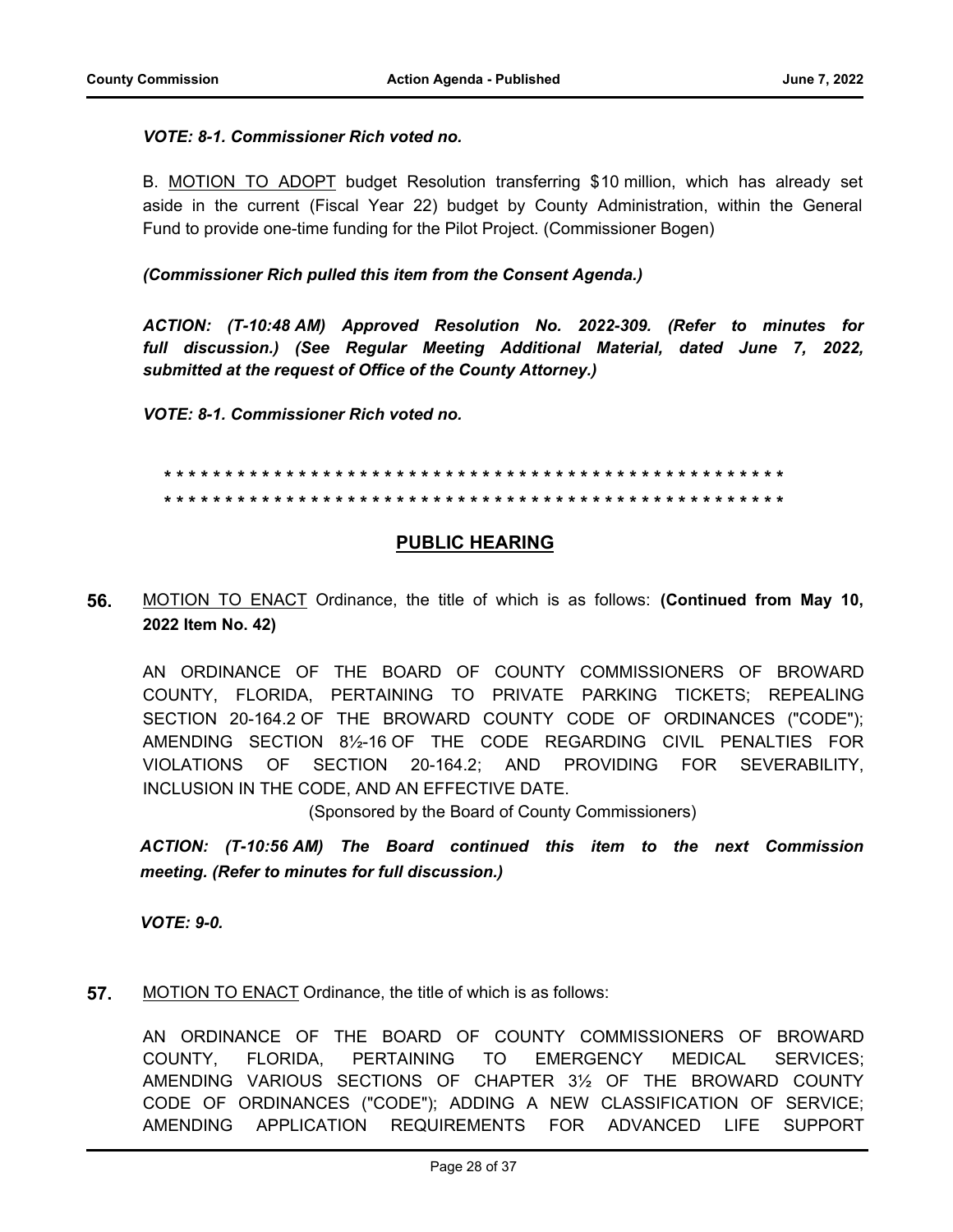### *VOTE: 8-1. Commissioner Rich voted no.*

B. MOTION TO ADOPT budget Resolution transferring \$10 million, which has already set aside in the current (Fiscal Year 22) budget by County Administration, within the General Fund to provide one-time funding for the Pilot Project. (Commissioner Bogen)

*(Commissioner Rich pulled this item from the Consent Agenda.)*

*ACTION: (T-10:48 AM) Approved Resolution No. 2022-309. (Refer to minutes for full discussion.) (See Regular Meeting Additional Material, dated June 7, 2022, submitted at the request of Office of the County Attorney.)*

*VOTE: 8-1. Commissioner Rich voted no.*

### **\* \* \* \* \* \* \* \* \* \* \* \* \* \* \* \* \* \* \* \* \* \* \* \* \* \* \* \* \* \* \* \* \* \* \* \* \* \* \* \* \* \* \* \* \* \* \* \* \* \* \* \* \* \* \* \* \* \* \* \* \* \* \* \* \* \* \* \* \* \* \* \* \* \* \* \* \* \* \* \* \* \* \* \* \* \* \* \* \* \* \* \* \* \* \* \* \* \* \* \* \* \***

# **PUBLIC HEARING**

**56.** MOTION TO ENACT Ordinance, the title of which is as follows: **(Continued from May 10, 2022 Item No. 42)**

AN ORDINANCE OF THE BOARD OF COUNTY COMMISSIONERS OF BROWARD COUNTY, FLORIDA, PERTAINING TO PRIVATE PARKING TICKETS; REPEALING SECTION 20-164.2 OF THE BROWARD COUNTY CODE OF ORDINANCES ("CODE"); AMENDING SECTION 8½-16 OF THE CODE REGARDING CIVIL PENALTIES FOR VIOLATIONS OF SECTION 20-164.2; AND PROVIDING FOR SEVERABILITY, INCLUSION IN THE CODE, AND AN EFFECTIVE DATE.

(Sponsored by the Board of County Commissioners)

*ACTION: (T-10:56 AM) The Board continued this item to the next Commission meeting. (Refer to minutes for full discussion.)*

*VOTE: 9-0.*

**57.** MOTION TO ENACT Ordinance, the title of which is as follows:

AN ORDINANCE OF THE BOARD OF COUNTY COMMISSIONERS OF BROWARD COUNTY, FLORIDA, PERTAINING TO EMERGENCY MEDICAL SERVICES; AMENDING VARIOUS SECTIONS OF CHAPTER 3½ OF THE BROWARD COUNTY CODE OF ORDINANCES ("CODE"); ADDING A NEW CLASSIFICATION OF SERVICE; AMENDING APPLICATION REQUIREMENTS FOR ADVANCED LIFE SUPPORT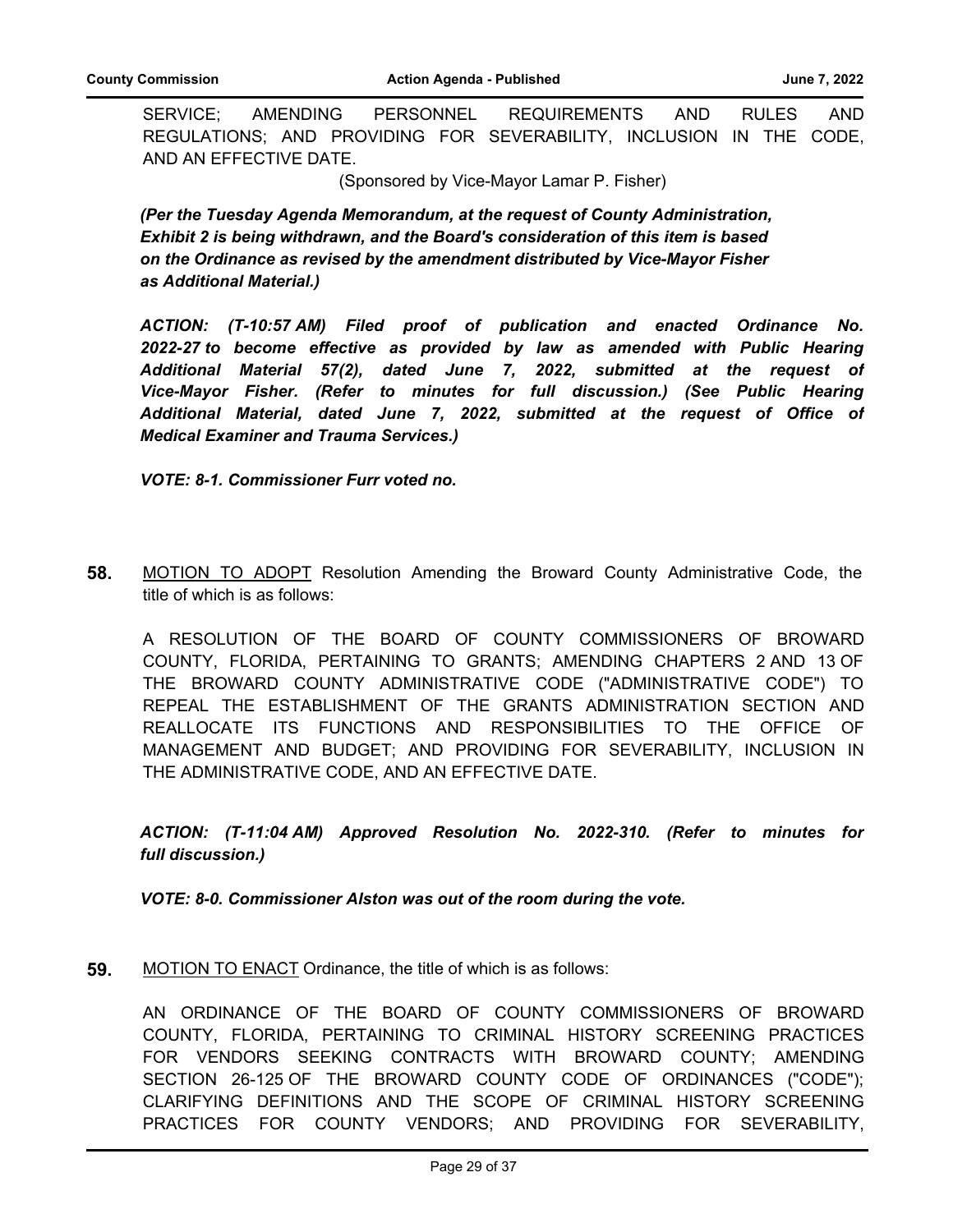SERVICE; AMENDING PERSONNEL REQUIREMENTS AND RULES AND REGULATIONS; AND PROVIDING FOR SEVERABILITY, INCLUSION IN THE CODE, AND AN EFFECTIVE DATE.

(Sponsored by Vice-Mayor Lamar P. Fisher)

*(Per the Tuesday Agenda Memorandum, at the request of County Administration, Exhibit 2 is being withdrawn, and the Board's consideration of this item is based on the Ordinance as revised by the amendment distributed by Vice-Mayor Fisher as Additional Material.)*

*ACTION: (T-10:57 AM) Filed proof of publication and enacted Ordinance No. 2022-27 to become effective as provided by law as amended with Public Hearing Additional Material 57(2), dated June 7, 2022, submitted at the request of Vice-Mayor Fisher. (Refer to minutes for full discussion.) (See Public Hearing Additional Material, dated June 7, 2022, submitted at the request of Office of Medical Examiner and Trauma Services.)*

*VOTE: 8-1. Commissioner Furr voted no.*

**58.** MOTION TO ADOPT Resolution Amending the Broward County Administrative Code, the title of which is as follows:

A RESOLUTION OF THE BOARD OF COUNTY COMMISSIONERS OF BROWARD COUNTY, FLORIDA, PERTAINING TO GRANTS; AMENDING CHAPTERS 2 AND 13 OF THE BROWARD COUNTY ADMINISTRATIVE CODE ("ADMINISTRATIVE CODE") TO REPEAL THE ESTABLISHMENT OF THE GRANTS ADMINISTRATION SECTION AND REALLOCATE ITS FUNCTIONS AND RESPONSIBILITIES TO THE OFFICE OF MANAGEMENT AND BUDGET; AND PROVIDING FOR SEVERABILITY, INCLUSION IN THE ADMINISTRATIVE CODE, AND AN EFFECTIVE DATE.

*ACTION: (T-11:04 AM) Approved Resolution No. 2022-310. (Refer to minutes for full discussion.)*

*VOTE: 8-0. Commissioner Alston was out of the room during the vote.*

**59.** MOTION TO ENACT Ordinance, the title of which is as follows:

AN ORDINANCE OF THE BOARD OF COUNTY COMMISSIONERS OF BROWARD COUNTY, FLORIDA, PERTAINING TO CRIMINAL HISTORY SCREENING PRACTICES FOR VENDORS SEEKING CONTRACTS WITH BROWARD COUNTY; AMENDING SECTION 26-125 OF THE BROWARD COUNTY CODE OF ORDINANCES ("CODE"); CLARIFYING DEFINITIONS AND THE SCOPE OF CRIMINAL HISTORY SCREENING PRACTICES FOR COUNTY VENDORS; AND PROVIDING FOR SEVERABILITY,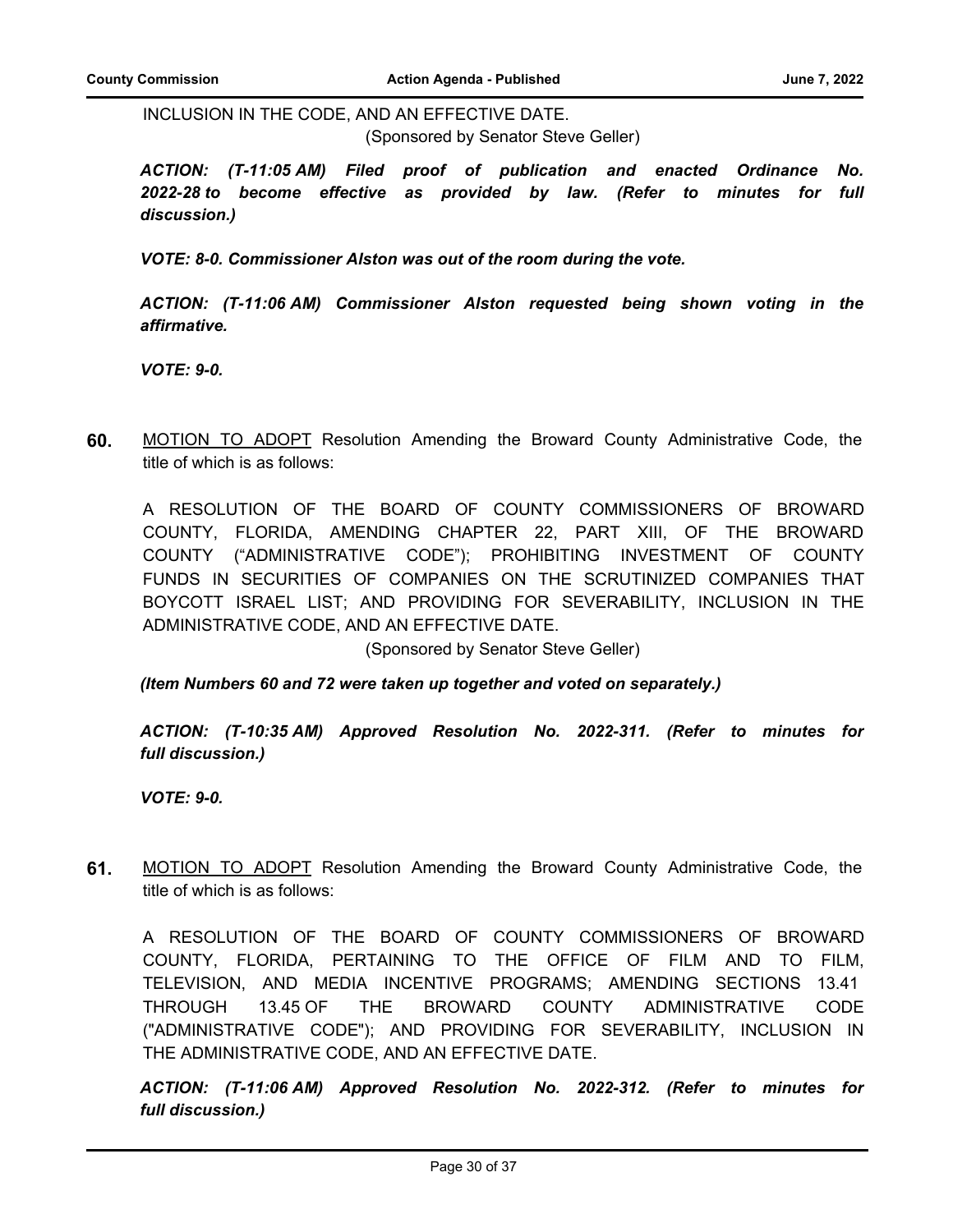INCLUSION IN THE CODE, AND AN EFFECTIVE DATE.

(Sponsored by Senator Steve Geller)

*ACTION: (T-11:05 AM) Filed proof of publication and enacted Ordinance No. 2022-28 to become effective as provided by law. (Refer to minutes for full discussion.)*

*VOTE: 8-0. Commissioner Alston was out of the room during the vote.*

*ACTION: (T-11:06 AM) Commissioner Alston requested being shown voting in the affirmative.*

*VOTE: 9-0.*

**60.** MOTION TO ADOPT Resolution Amending the Broward County Administrative Code, the title of which is as follows:

A RESOLUTION OF THE BOARD OF COUNTY COMMISSIONERS OF BROWARD COUNTY, FLORIDA, AMENDING CHAPTER 22, PART XIII, OF THE BROWARD COUNTY ("ADMINISTRATIVE CODE"); PROHIBITING INVESTMENT OF COUNTY FUNDS IN SECURITIES OF COMPANIES ON THE SCRUTINIZED COMPANIES THAT BOYCOTT ISRAEL LIST; AND PROVIDING FOR SEVERABILITY, INCLUSION IN THE ADMINISTRATIVE CODE, AND AN EFFECTIVE DATE.

(Sponsored by Senator Steve Geller)

*(Item Numbers 60 and 72 were taken up together and voted on separately.)*

*ACTION: (T-10:35 AM) Approved Resolution No. 2022-311. (Refer to minutes for full discussion.)*

*VOTE: 9-0.*

**61.** MOTION TO ADOPT Resolution Amending the Broward County Administrative Code, the title of which is as follows:

A RESOLUTION OF THE BOARD OF COUNTY COMMISSIONERS OF BROWARD COUNTY, FLORIDA, PERTAINING TO THE OFFICE OF FILM AND TO FILM, TELEVISION, AND MEDIA INCENTIVE PROGRAMS; AMENDING SECTIONS 13.41 THROUGH 13.45 OF THE BROWARD COUNTY ADMINISTRATIVE CODE ("ADMINISTRATIVE CODE"); AND PROVIDING FOR SEVERABILITY, INCLUSION IN THE ADMINISTRATIVE CODE, AND AN EFFECTIVE DATE.

*ACTION: (T-11:06 AM) Approved Resolution No. 2022-312. (Refer to minutes for full discussion.)*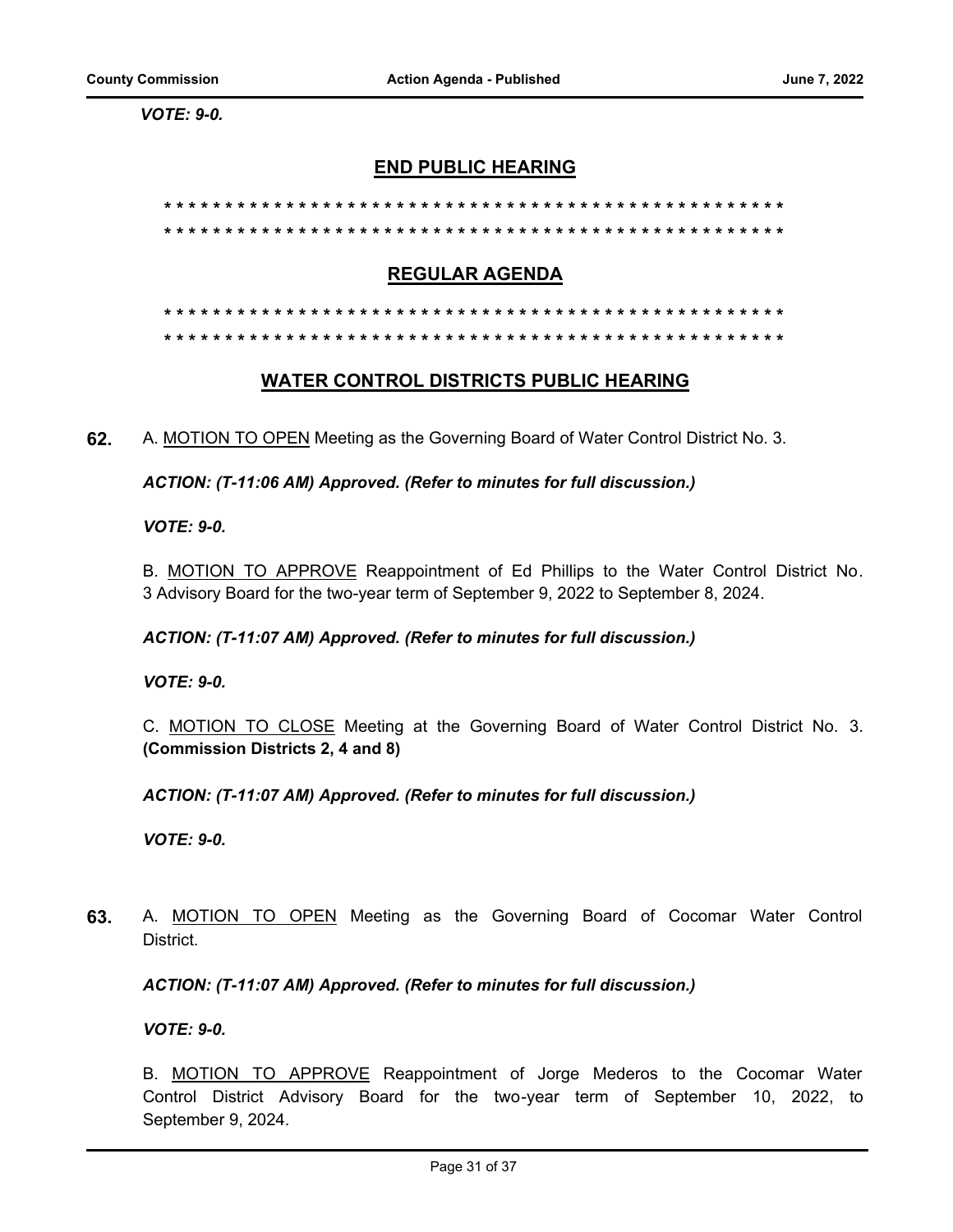*VOTE: 9-0.*

# **END PUBLIC HEARING**

# **\* \* \* \* \* \* \* \* \* \* \* \* \* \* \* \* \* \* \* \* \* \* \* \* \* \* \* \* \* \* \* \* \* \* \* \* \* \* \* \* \* \* \* \* \* \* \* \* \* \* \* \* \* \* \* \* \* \* \* \* \* \* \* \* \* \* \* \* \* \* \* \* \* \* \* \* \* \* \* \* \* \* \* \* \* \* \* \* \* \* \* \* \* \* \* \* \* \* \* \* \* \***

#### **REGULAR AGENDA**

# **WATER CONTROL DISTRICTS PUBLIC HEARING**

**62.** A. MOTION TO OPEN Meeting as the Governing Board of Water Control District No. 3.

*ACTION: (T-11:06 AM) Approved. (Refer to minutes for full discussion.)*

*VOTE: 9-0.*

B. MOTION TO APPROVE Reappointment of Ed Phillips to the Water Control District No. 3 Advisory Board for the two-year term of September 9, 2022 to September 8, 2024.

#### *ACTION: (T-11:07 AM) Approved. (Refer to minutes for full discussion.)*

*VOTE: 9-0.*

C. MOTION TO CLOSE Meeting at the Governing Board of Water Control District No. 3. **(Commission Districts 2, 4 and 8)**

*ACTION: (T-11:07 AM) Approved. (Refer to minutes for full discussion.)*

*VOTE: 9-0.*

**63.** A. MOTION TO OPEN Meeting as the Governing Board of Cocomar Water Control District.

*ACTION: (T-11:07 AM) Approved. (Refer to minutes for full discussion.)*

*VOTE: 9-0.*

B. MOTION TO APPROVE Reappointment of Jorge Mederos to the Cocomar Water Control District Advisory Board for the two-year term of September 10, 2022, to September 9, 2024.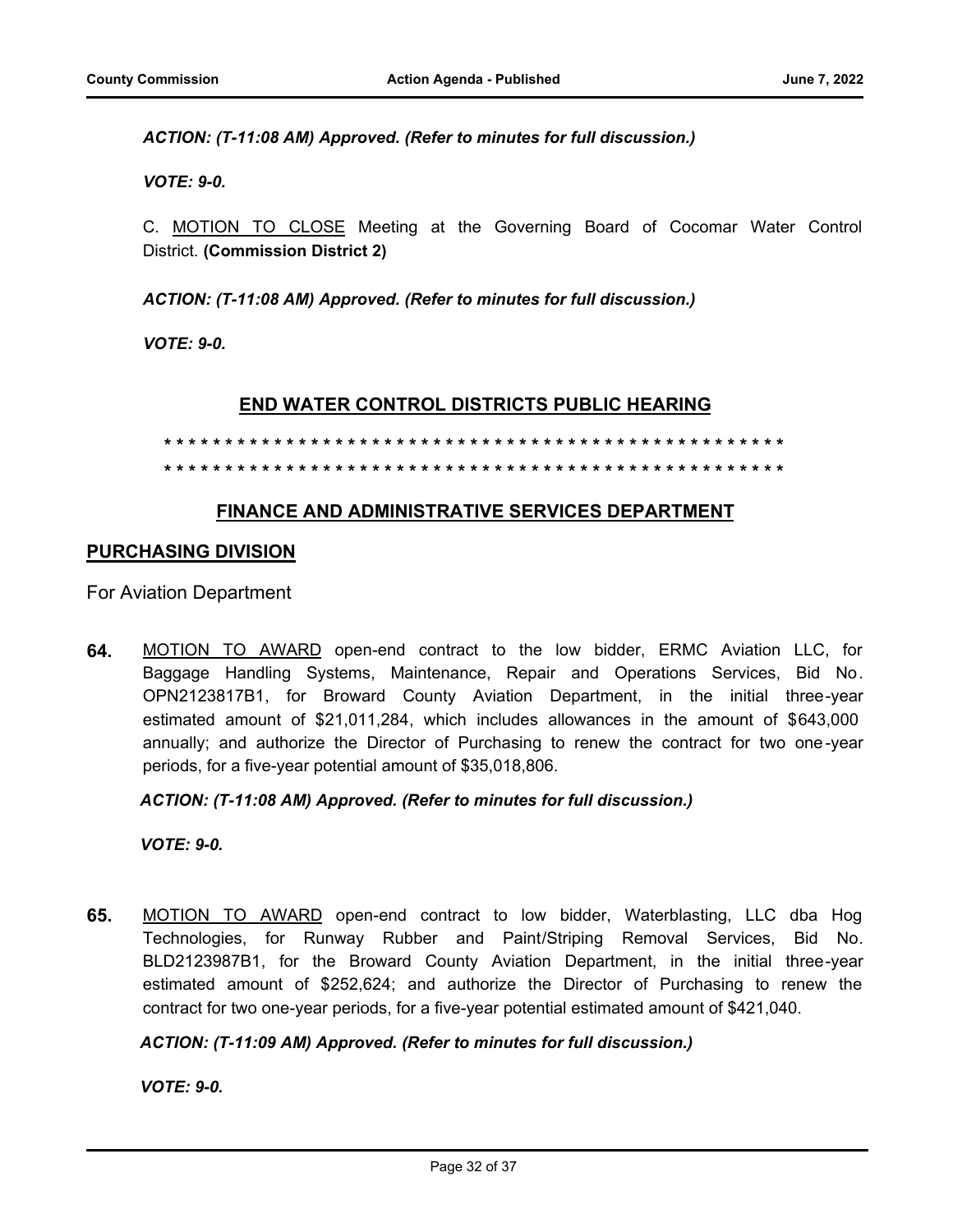*ACTION: (T-11:08 AM) Approved. (Refer to minutes for full discussion.)*

*VOTE: 9-0.*

C. MOTION TO CLOSE Meeting at the Governing Board of Cocomar Water Control District. **(Commission District 2)**

*ACTION: (T-11:08 AM) Approved. (Refer to minutes for full discussion.)*

*VOTE: 9-0.*

# **END WATER CONTROL DISTRICTS PUBLIC HEARING**

#### **\* \* \* \* \* \* \* \* \* \* \* \* \* \* \* \* \* \* \* \* \* \* \* \* \* \* \* \* \* \* \* \* \* \* \* \* \* \* \* \* \* \* \* \* \* \* \* \* \* \* \* \* \* \* \* \* \* \* \* \* \* \* \* \* \* \* \* \* \* \* \* \* \* \* \* \* \* \* \* \* \* \* \* \* \* \* \* \* \* \* \* \* \* \* \* \* \* \* \* \* \* \***

# **FINANCE AND ADMINISTRATIVE SERVICES DEPARTMENT**

#### **PURCHASING DIVISION**

For Aviation Department

**64.** MOTION TO AWARD open-end contract to the low bidder, ERMC Aviation LLC, for Baggage Handling Systems, Maintenance, Repair and Operations Services, Bid No. OPN2123817B1, for Broward County Aviation Department, in the initial three-year estimated amount of \$21,011,284, which includes allowances in the amount of \$643,000 annually; and authorize the Director of Purchasing to renew the contract for two one-year periods, for a five-year potential amount of \$35,018,806.

*ACTION: (T-11:08 AM) Approved. (Refer to minutes for full discussion.)*

*VOTE: 9-0.*

**65.** MOTION TO AWARD open-end contract to low bidder, Waterblasting, LLC dba Hog Technologies, for Runway Rubber and Paint/Striping Removal Services, Bid No. BLD2123987B1, for the Broward County Aviation Department, in the initial three-year estimated amount of \$252,624; and authorize the Director of Purchasing to renew the contract for two one-year periods, for a five-year potential estimated amount of \$421,040.

#### *ACTION: (T-11:09 AM) Approved. (Refer to minutes for full discussion.)*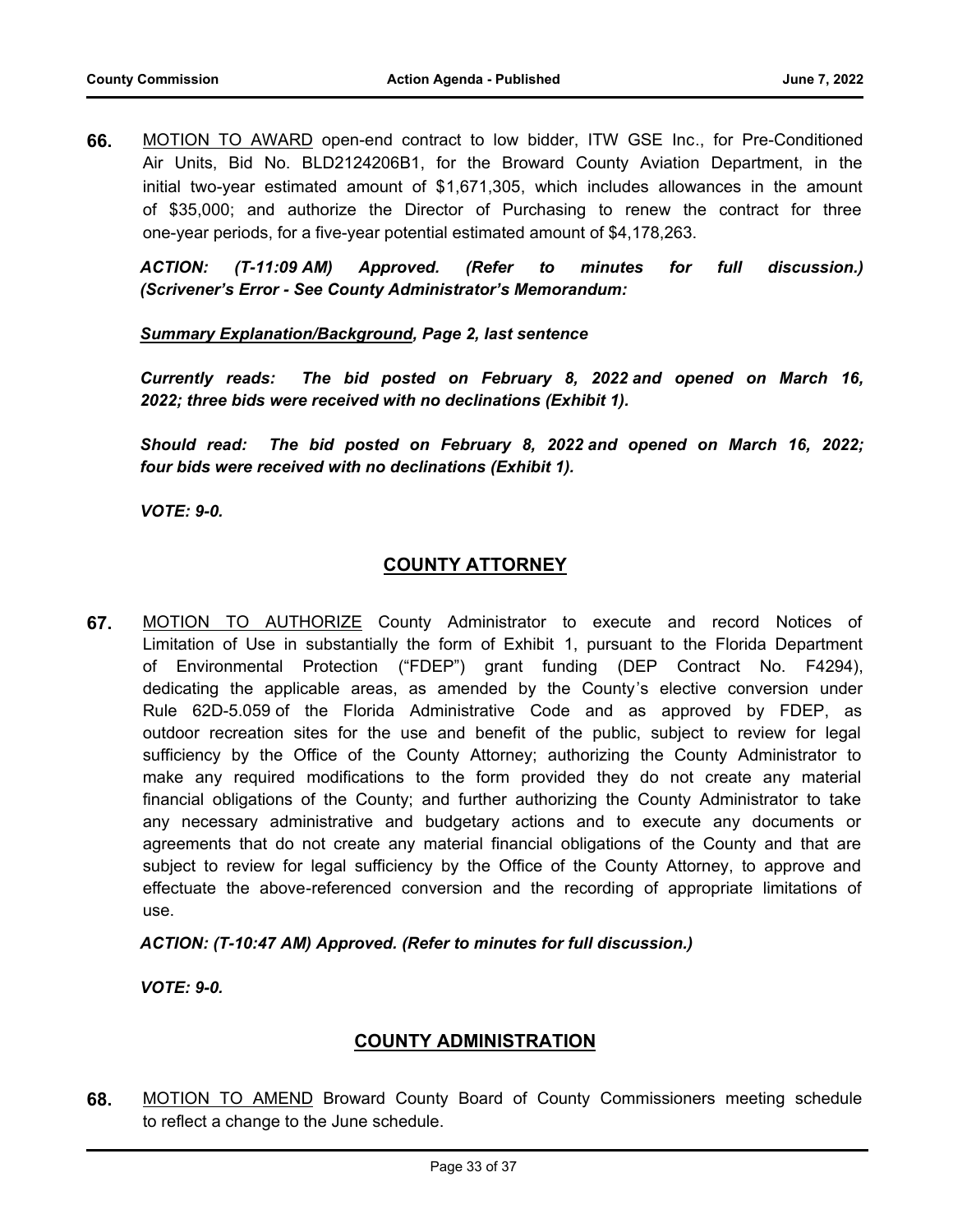**66.** MOTION TO AWARD open-end contract to low bidder, ITW GSE Inc., for Pre-Conditioned Air Units, Bid No. BLD2124206B1, for the Broward County Aviation Department, in the initial two-year estimated amount of \$1,671,305, which includes allowances in the amount of \$35,000; and authorize the Director of Purchasing to renew the contract for three one-year periods, for a five-year potential estimated amount of \$4,178,263.

*ACTION: (T-11:09 AM) Approved. (Refer to minutes for full discussion.) (Scrivener's Error - See County Administrator's Memorandum:* 

#### *Summary Explanation/Background, Page 2, last sentence*

*Currently reads: The bid posted on February 8, 2022 and opened on March 16, 2022; three bids were received with no declinations (Exhibit 1).*

*Should read: The bid posted on February 8, 2022 and opened on March 16, 2022; four bids were received with no declinations (Exhibit 1).* 

*VOTE: 9-0.*

# **COUNTY ATTORNEY**

**67.** MOTION TO AUTHORIZE County Administrator to execute and record Notices of Limitation of Use in substantially the form of Exhibit 1, pursuant to the Florida Department of Environmental Protection ("FDEP") grant funding (DEP Contract No. F4294), dedicating the applicable areas, as amended by the County's elective conversion under Rule 62D-5.059 of the Florida Administrative Code and as approved by FDEP, as outdoor recreation sites for the use and benefit of the public, subject to review for legal sufficiency by the Office of the County Attorney; authorizing the County Administrator to make any required modifications to the form provided they do not create any material financial obligations of the County; and further authorizing the County Administrator to take any necessary administrative and budgetary actions and to execute any documents or agreements that do not create any material financial obligations of the County and that are subject to review for legal sufficiency by the Office of the County Attorney, to approve and effectuate the above-referenced conversion and the recording of appropriate limitations of use.

*ACTION: (T-10:47 AM) Approved. (Refer to minutes for full discussion.)*

*VOTE: 9-0.*

# **COUNTY ADMINISTRATION**

**68.** MOTION TO AMEND Broward County Board of County Commissioners meeting schedule to reflect a change to the June schedule.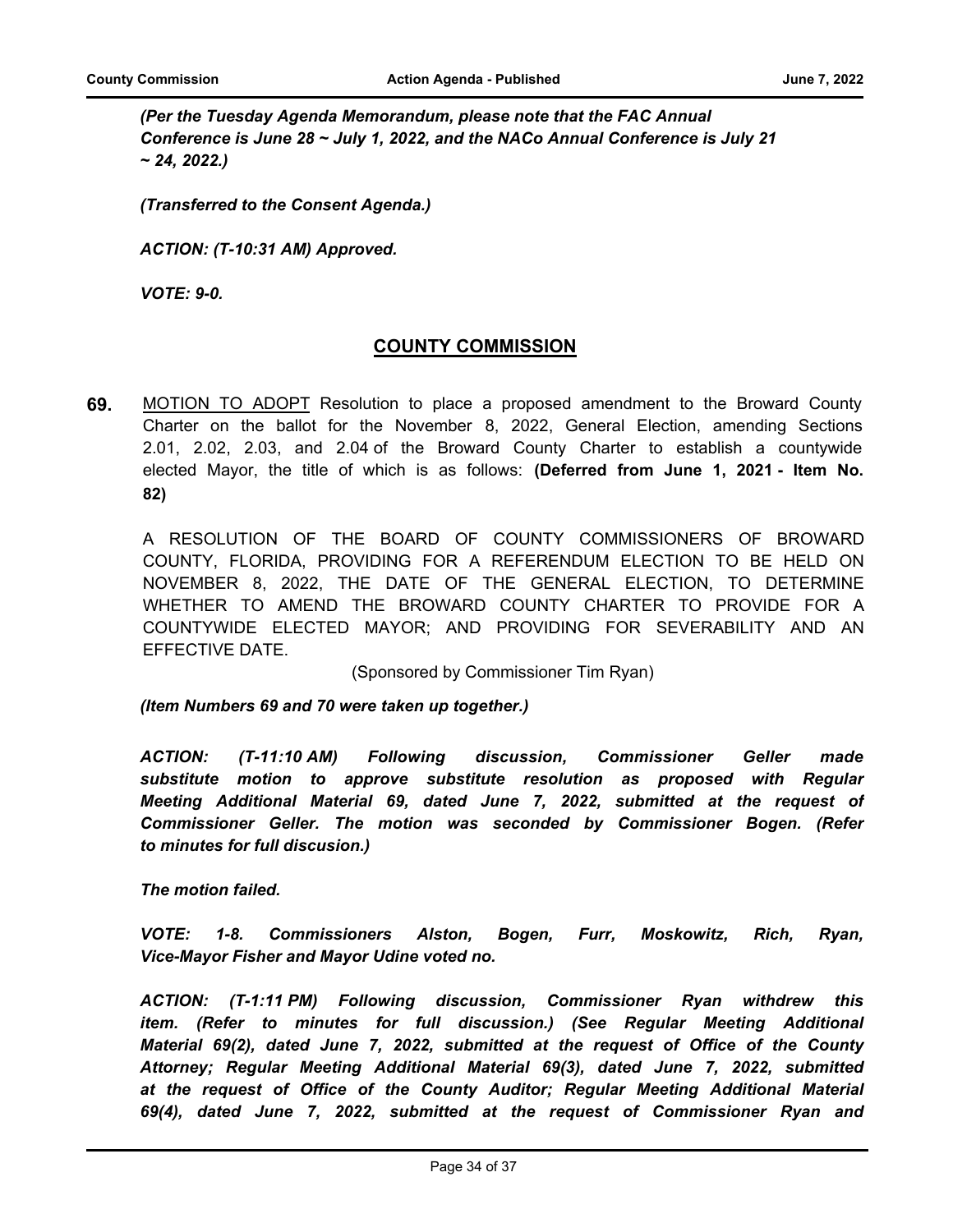*(Per the Tuesday Agenda Memorandum, please note that the FAC Annual Conference is June 28 ~ July 1, 2022, and the NACo Annual Conference is July 21 ~ 24, 2022.)*

*(Transferred to the Consent Agenda.)*

*ACTION: (T-10:31 AM) Approved.*

*VOTE: 9-0.*

# **COUNTY COMMISSION**

**69.** MOTION TO ADOPT Resolution to place a proposed amendment to the Broward County Charter on the ballot for the November 8, 2022, General Election, amending Sections 2.01, 2.02, 2.03, and 2.04 of the Broward County Charter to establish a countywide elected Mayor, the title of which is as follows: **(Deferred from June 1, 2021 - Item No. 82)**

A RESOLUTION OF THE BOARD OF COUNTY COMMISSIONERS OF BROWARD COUNTY, FLORIDA, PROVIDING FOR A REFERENDUM ELECTION TO BE HELD ON NOVEMBER 8, 2022, THE DATE OF THE GENERAL ELECTION, TO DETERMINE WHETHER TO AMEND THE BROWARD COUNTY CHARTER TO PROVIDE FOR A COUNTYWIDE ELECTED MAYOR; AND PROVIDING FOR SEVERABILITY AND AN EFFECTIVE DATE.

(Sponsored by Commissioner Tim Ryan)

*(Item Numbers 69 and 70 were taken up together.)*

*ACTION: (T-11:10 AM) Following discussion, Commissioner Geller made substitute motion to approve substitute resolution as proposed with Regular Meeting Additional Material 69, dated June 7, 2022, submitted at the request of Commissioner Geller. The motion was seconded by Commissioner Bogen. (Refer to minutes for full discusion.)*

*The motion failed.*

*VOTE: 1-8. Commissioners Alston, Bogen, Furr, Moskowitz, Rich, Ryan, Vice-Mayor Fisher and Mayor Udine voted no.*

*ACTION: (T-1:11 PM) Following discussion, Commissioner Ryan withdrew this item. (Refer to minutes for full discussion.) (See Regular Meeting Additional Material 69(2), dated June 7, 2022, submitted at the request of Office of the County Attorney; Regular Meeting Additional Material 69(3), dated June 7, 2022, submitted at the request of Office of the County Auditor; Regular Meeting Additional Material 69(4), dated June 7, 2022, submitted at the request of Commissioner Ryan and*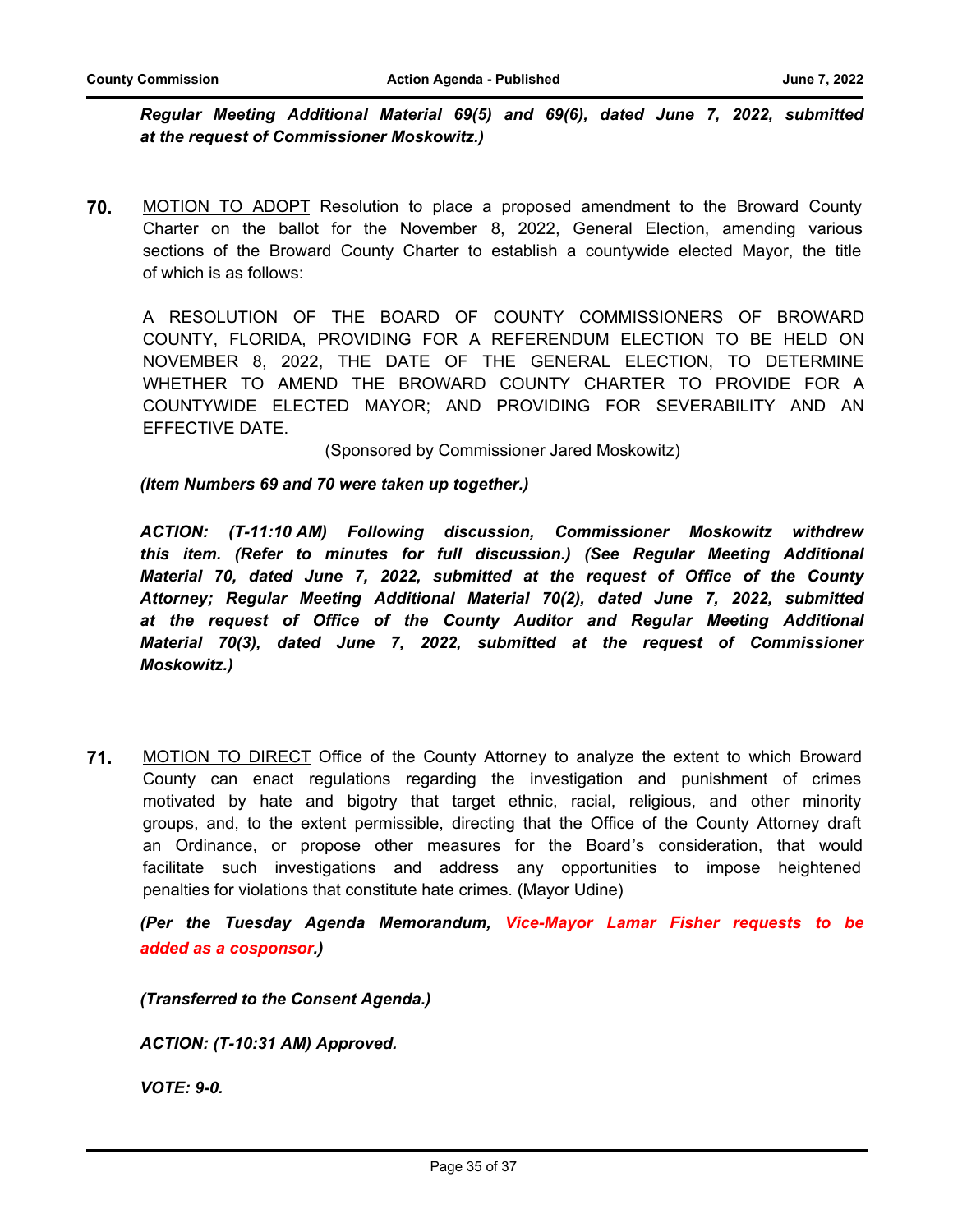*Regular Meeting Additional Material 69(5) and 69(6), dated June 7, 2022, submitted at the request of Commissioner Moskowitz.)*

**70.** MOTION TO ADOPT Resolution to place a proposed amendment to the Broward County Charter on the ballot for the November 8, 2022, General Election, amending various sections of the Broward County Charter to establish a countywide elected Mayor, the title of which is as follows:

A RESOLUTION OF THE BOARD OF COUNTY COMMISSIONERS OF BROWARD COUNTY, FLORIDA, PROVIDING FOR A REFERENDUM ELECTION TO BE HELD ON NOVEMBER 8, 2022, THE DATE OF THE GENERAL ELECTION, TO DETERMINE WHETHER TO AMEND THE BROWARD COUNTY CHARTER TO PROVIDE FOR A COUNTYWIDE ELECTED MAYOR; AND PROVIDING FOR SEVERABILITY AND AN EFFECTIVE DATE.

(Sponsored by Commissioner Jared Moskowitz)

*(Item Numbers 69 and 70 were taken up together.)*

*ACTION: (T-11:10 AM) Following discussion, Commissioner Moskowitz withdrew this item. (Refer to minutes for full discussion.) (See Regular Meeting Additional Material 70, dated June 7, 2022, submitted at the request of Office of the County Attorney; Regular Meeting Additional Material 70(2), dated June 7, 2022, submitted at the request of Office of the County Auditor and Regular Meeting Additional Material 70(3), dated June 7, 2022, submitted at the request of Commissioner Moskowitz.)*

**71.** MOTION TO DIRECT Office of the County Attorney to analyze the extent to which Broward County can enact regulations regarding the investigation and punishment of crimes motivated by hate and bigotry that target ethnic, racial, religious, and other minority groups, and, to the extent permissible, directing that the Office of the County Attorney draft an Ordinance, or propose other measures for the Board's consideration, that would facilitate such investigations and address any opportunities to impose heightened penalties for violations that constitute hate crimes. (Mayor Udine)

*(Per the Tuesday Agenda Memorandum, Vice-Mayor Lamar Fisher requests to be added as a cosponsor.)*

*(Transferred to the Consent Agenda.)*

*ACTION: (T-10:31 AM) Approved.*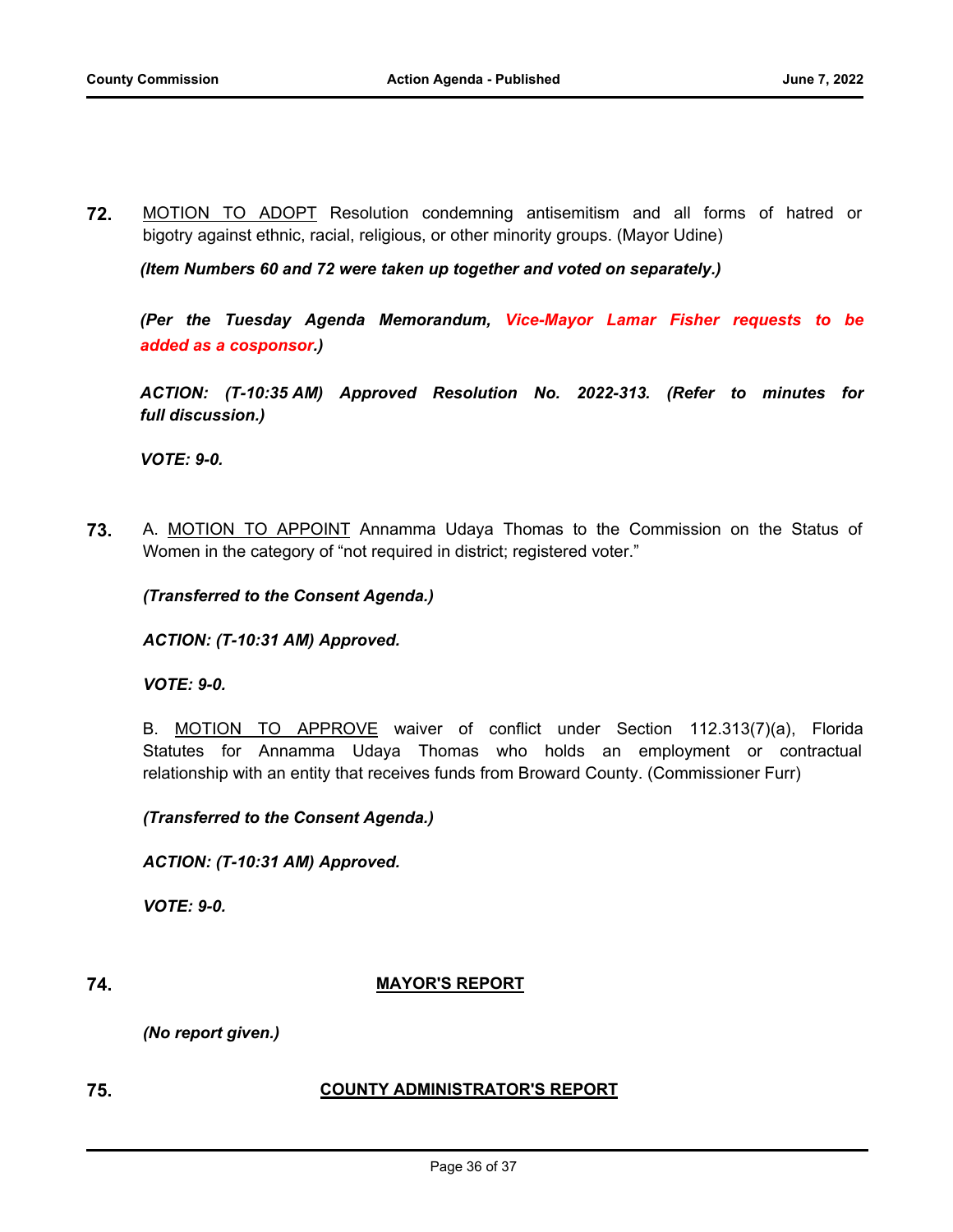**72.** MOTION TO ADOPT Resolution condemning antisemitism and all forms of hatred or bigotry against ethnic, racial, religious, or other minority groups. (Mayor Udine)

*(Item Numbers 60 and 72 were taken up together and voted on separately.)*

*(Per the Tuesday Agenda Memorandum, Vice-Mayor Lamar Fisher requests to be added as a cosponsor.)*

*ACTION: (T-10:35 AM) Approved Resolution No. 2022-313. (Refer to minutes for full discussion.)*

*VOTE: 9-0.*

**73.** A. MOTION TO APPOINT Annamma Udaya Thomas to the Commission on the Status of Women in the category of "not required in district; registered voter."

*(Transferred to the Consent Agenda.)*

*ACTION: (T-10:31 AM) Approved.*

*VOTE: 9-0.*

B. MOTION TO APPROVE waiver of conflict under Section 112.313(7)(a), Florida Statutes for Annamma Udaya Thomas who holds an employment or contractual relationship with an entity that receives funds from Broward County. (Commissioner Furr)

*(Transferred to the Consent Agenda.)*

*ACTION: (T-10:31 AM) Approved.*

*VOTE: 9-0.*

#### **74. MAYOR'S REPORT**

*(No report given.)*

# **75. COUNTY ADMINISTRATOR'S REPORT**